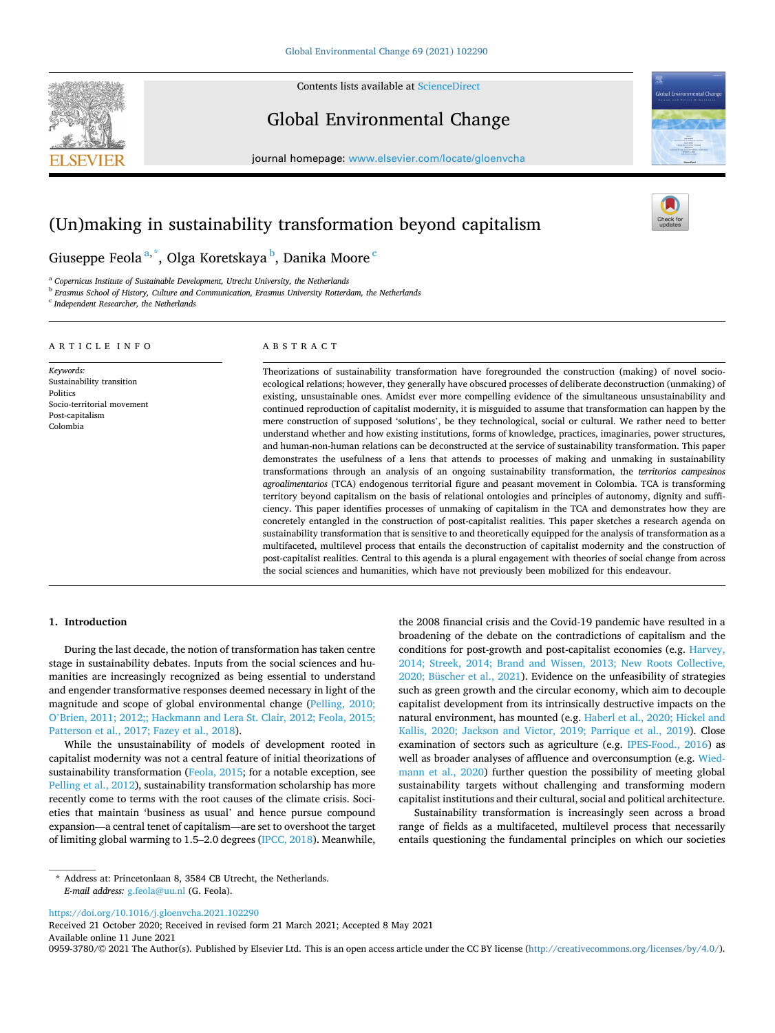

Contents lists available at [ScienceDirect](www.sciencedirect.com/science/journal/09593780)

# Global Environmental Change

journal homepage: [www.elsevier.com/locate/gloenvcha](https://www.elsevier.com/locate/gloenvcha) 



# (Un)making in sustainability transformation beyond capitalism

Giuseppe Feola $\mathrm{^{a,\ast}}$ , Olga Koretskaya $\mathrm{^{b},}$  Danika Moore  $\mathrm{^{c}}$ 

<sup>a</sup> *Copernicus Institute of Sustainable Development, Utrecht University, the Netherlands* 

<sup>b</sup> *Erasmus School of History, Culture and Communication, Erasmus University Rotterdam, the Netherlands* 

<sup>c</sup> *Independent Researcher, the Netherlands* 

#### ARTICLE INFO

*Keywords:*  Sustainability transition Politics Socio-territorial movement Post-capitalism Colombia

# ABSTRACT

Theorizations of sustainability transformation have foregrounded the construction (making) of novel socioecological relations; however, they generally have obscured processes of deliberate deconstruction (unmaking) of existing, unsustainable ones. Amidst ever more compelling evidence of the simultaneous unsustainability and continued reproduction of capitalist modernity, it is misguided to assume that transformation can happen by the mere construction of supposed 'solutions', be they technological, social or cultural. We rather need to better understand whether and how existing institutions, forms of knowledge, practices, imaginaries, power structures, and human-non-human relations can be deconstructed at the service of sustainability transformation. This paper demonstrates the usefulness of a lens that attends to processes of making and unmaking in sustainability transformations through an analysis of an ongoing sustainability transformation, the *territorios campesinos agroalimentarios* (TCA) endogenous territorial figure and peasant movement in Colombia. TCA is transforming territory beyond capitalism on the basis of relational ontologies and principles of autonomy, dignity and sufficiency. This paper identifies processes of unmaking of capitalism in the TCA and demonstrates how they are concretely entangled in the construction of post-capitalist realities. This paper sketches a research agenda on sustainability transformation that is sensitive to and theoretically equipped for the analysis of transformation as a multifaceted, multilevel process that entails the deconstruction of capitalist modernity and the construction of post-capitalist realities. Central to this agenda is a plural engagement with theories of social change from across the social sciences and humanities, which have not previously been mobilized for this endeavour.

## **1. Introduction**

During the last decade, the notion of transformation has taken centre stage in sustainability debates. Inputs from the social sciences and humanities are increasingly recognized as being essential to understand and engender transformative responses deemed necessary in light of the magnitude and scope of global environmental change ([Pelling, 2010;](#page-11-0)  O'[Brien, 2011; 2012;; Hackmann and Lera St. Clair, 2012; Feola, 2015;](#page-11-0)  [Patterson et al., 2017; Fazey et al., 2018\)](#page-11-0).

While the unsustainability of models of development rooted in capitalist modernity was not a central feature of initial theorizations of sustainability transformation [\(Feola, 2015;](#page-10-0) for a notable exception, see [Pelling et al., 2012\)](#page-11-0), sustainability transformation scholarship has more recently come to terms with the root causes of the climate crisis. Societies that maintain 'business as usual' and hence pursue compound expansion—a central tenet of capitalism—are set to overshoot the target of limiting global warming to 1.5–2.0 degrees [\(IPCC, 2018](#page-10-0)). Meanwhile,

the 2008 financial crisis and the Covid-19 pandemic have resulted in a broadening of the debate on the contradictions of capitalism and the conditions for post-growth and post-capitalist economies (e.g. [Harvey,](#page-10-0)  [2014; Streek, 2014; Brand and Wissen, 2013; New Roots Collective,](#page-10-0)  [2020; Büscher et al., 2021\)](#page-10-0). Evidence on the unfeasibility of strategies such as green growth and the circular economy, which aim to decouple capitalist development from its intrinsically destructive impacts on the natural environment, has mounted (e.g. [Haberl et al., 2020; Hickel and](#page-10-0)  [Kallis, 2020; Jackson and Victor, 2019; Parrique et al., 2019](#page-10-0)). Close examination of sectors such as agriculture (e.g. [IPES-Food., 2016](#page-10-0)) as well as broader analyses of affluence and overconsumption (e.g. [Wied](#page-11-0)[mann et al., 2020](#page-11-0)) further question the possibility of meeting global sustainability targets without challenging and transforming modern capitalist institutions and their cultural, social and political architecture.

Sustainability transformation is increasingly seen across a broad range of fields as a multifaceted, multilevel process that necessarily entails questioning the fundamental principles on which our societies

<https://doi.org/10.1016/j.gloenvcha.2021.102290>

Available online 11 June 2021 Received 21 October 2020; Received in revised form 21 March 2021; Accepted 8 May 2021

0959-3780/© 2021 The Author(s). Published by Elsevier Ltd. This is an open access article under the CC BY license [\(http://creativecommons.org/licenses/by/4.0/\)](http://creativecommons.org/licenses/by/4.0/).

<sup>\*</sup> Address at: Princetonlaan 8, 3584 CB Utrecht, the Netherlands. *E-mail address:* [g.feola@uu.nl](mailto:g.feola@uu.nl) (G. Feola).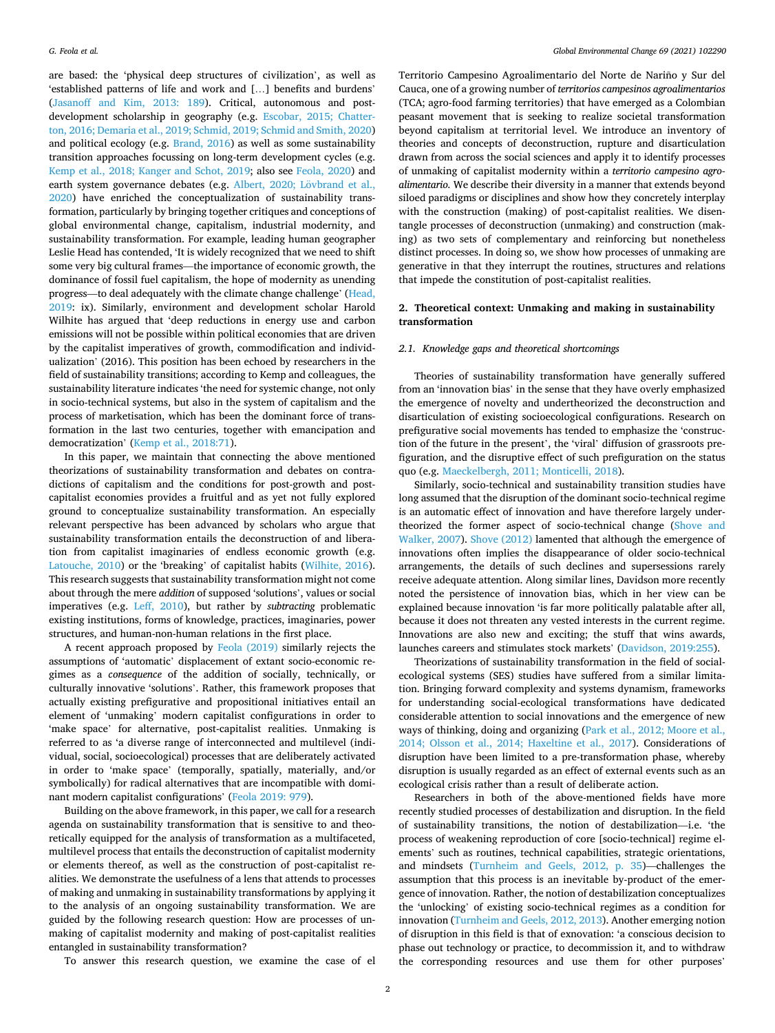are based: the 'physical deep structures of civilization', as well as 'established patterns of life and work and […] benefits and burdens' ([Jasanoff and Kim, 2013: 189](#page-11-0)). Critical, autonomous and postdevelopment scholarship in geography (e.g. [Escobar, 2015; Chatter](#page-10-0)[ton, 2016; Demaria et al., 2019; Schmid, 2019; Schmid and Smith, 2020\)](#page-10-0) and political ecology (e.g. [Brand, 2016](#page-10-0)) as well as some sustainability transition approaches focussing on long-term development cycles (e.g. [Kemp et al., 2018; Kanger and Schot, 2019](#page-11-0); also see [Feola, 2020\)](#page-10-0) and earth system governance debates (e.g. Albert, 2020; Lövbrand et al., [2020\)](#page-10-0) have enriched the conceptualization of sustainability transformation, particularly by bringing together critiques and conceptions of global environmental change, capitalism, industrial modernity, and sustainability transformation. For example, leading human geographer Leslie Head has contended, 'It is widely recognized that we need to shift some very big cultural frames—the importance of economic growth, the dominance of fossil fuel capitalism, the hope of modernity as unending progress—to deal adequately with the climate change challenge' [\(Head,](#page-10-0)  [2019:](#page-10-0) ix). Similarly, environment and development scholar Harold Wilhite has argued that 'deep reductions in energy use and carbon emissions will not be possible within political economies that are driven by the capitalist imperatives of growth, commodification and individualization' (2016). This position has been echoed by researchers in the field of sustainability transitions; according to Kemp and colleagues, the sustainability literature indicates 'the need for systemic change, not only in socio-technical systems, but also in the system of capitalism and the process of marketisation, which has been the dominant force of transformation in the last two centuries, together with emancipation and democratization' ([Kemp et al., 2018:71\)](#page-11-0).

In this paper, we maintain that connecting the above mentioned theorizations of sustainability transformation and debates on contradictions of capitalism and the conditions for post-growth and postcapitalist economies provides a fruitful and as yet not fully explored ground to conceptualize sustainability transformation. An especially relevant perspective has been advanced by scholars who argue that sustainability transformation entails the deconstruction of and liberation from capitalist imaginaries of endless economic growth (e.g. [Latouche, 2010\)](#page-11-0) or the 'breaking' of capitalist habits [\(Wilhite, 2016](#page-11-0)). This research suggests that sustainability transformation might not come about through the mere *addition* of supposed 'solutions', values or social imperatives (e.g. [Leff, 2010](#page-11-0)), but rather by *subtracting* problematic existing institutions, forms of knowledge, practices, imaginaries, power structures, and human-non-human relations in the first place.

A recent approach proposed by [Feola \(2019\)](#page-10-0) similarly rejects the assumptions of 'automatic' displacement of extant socio-economic regimes as a *consequence* of the addition of socially, technically, or culturally innovative 'solutions'. Rather, this framework proposes that actually existing prefigurative and propositional initiatives entail an element of 'unmaking' modern capitalist configurations in order to 'make space' for alternative, post-capitalist realities. Unmaking is referred to as 'a diverse range of interconnected and multilevel (individual, social, socioecological) processes that are deliberately activated in order to 'make space' (temporally, spatially, materially, and/or symbolically) for radical alternatives that are incompatible with dominant modern capitalist configurations' [\(Feola 2019: 979\)](#page-10-0).

Building on the above framework, in this paper, we call for a research agenda on sustainability transformation that is sensitive to and theoretically equipped for the analysis of transformation as a multifaceted, multilevel process that entails the deconstruction of capitalist modernity or elements thereof, as well as the construction of post-capitalist realities. We demonstrate the usefulness of a lens that attends to processes of making and unmaking in sustainability transformations by applying it to the analysis of an ongoing sustainability transformation. We are guided by the following research question: How are processes of unmaking of capitalist modernity and making of post-capitalist realities entangled in sustainability transformation?

Territorio Campesino Agroalimentario del Norte de Nariño y Sur del Cauca, one of a growing number of *territorios campesinos agroalimentarios*  (TCA; agro-food farming territories) that have emerged as a Colombian peasant movement that is seeking to realize societal transformation beyond capitalism at territorial level. We introduce an inventory of theories and concepts of deconstruction, rupture and disarticulation drawn from across the social sciences and apply it to identify processes of unmaking of capitalist modernity within a *territorio campesino agroalimentario.* We describe their diversity in a manner that extends beyond siloed paradigms or disciplines and show how they concretely interplay with the construction (making) of post-capitalist realities. We disentangle processes of deconstruction (unmaking) and construction (making) as two sets of complementary and reinforcing but nonetheless distinct processes. In doing so, we show how processes of unmaking are generative in that they interrupt the routines, structures and relations that impede the constitution of post-capitalist realities.

## **2. Theoretical context: Unmaking and making in sustainability transformation**

## *2.1. Knowledge gaps and theoretical shortcomings*

Theories of sustainability transformation have generally suffered from an 'innovation bias' in the sense that they have overly emphasized the emergence of novelty and undertheorized the deconstruction and disarticulation of existing socioecological configurations. Research on prefigurative social movements has tended to emphasize the 'construction of the future in the present', the 'viral' diffusion of grassroots prefiguration, and the disruptive effect of such prefiguration on the status quo (e.g. [Maeckelbergh, 2011; Monticelli, 2018](#page-11-0)).

Similarly, socio-technical and sustainability transition studies have long assumed that the disruption of the dominant socio-technical regime is an automatic effect of innovation and have therefore largely undertheorized the former aspect of socio-technical change ([Shove and](#page-11-0)  [Walker, 2007](#page-11-0)). [Shove \(2012\)](#page-11-0) lamented that although the emergence of innovations often implies the disappearance of older socio-technical arrangements, the details of such declines and supersessions rarely receive adequate attention. Along similar lines, Davidson more recently noted the persistence of innovation bias, which in her view can be explained because innovation 'is far more politically palatable after all, because it does not threaten any vested interests in the current regime. Innovations are also new and exciting; the stuff that wins awards, launches careers and stimulates stock markets' [\(Davidson, 2019:255\)](#page-10-0).

Theorizations of sustainability transformation in the field of socialecological systems (SES) studies have suffered from a similar limitation. Bringing forward complexity and systems dynamism, frameworks for understanding social-ecological transformations have dedicated considerable attention to social innovations and the emergence of new ways of thinking, doing and organizing [\(Park et al., 2012; Moore et al.,](#page-11-0)  [2014; Olsson et al., 2014; Haxeltine et al., 2017](#page-11-0)). Considerations of disruption have been limited to a pre-transformation phase, whereby disruption is usually regarded as an effect of external events such as an ecological crisis rather than a result of deliberate action.

Researchers in both of the above-mentioned fields have more recently studied processes of destabilization and disruption. In the field of sustainability transitions, the notion of destabilization—i.e. 'the process of weakening reproduction of core [socio-technical] regime elements' such as routines, technical capabilities, strategic orientations, and mindsets ([Turnheim and Geels, 2012, p. 35\)](#page-11-0)—challenges the assumption that this process is an inevitable by-product of the emergence of innovation. Rather, the notion of destabilization conceptualizes the 'unlocking' of existing socio-technical regimes as a condition for innovation [\(Turnheim and Geels, 2012, 2013\)](#page-11-0). Another emerging notion of disruption in this field is that of exnovation: 'a conscious decision to phase out technology or practice, to decommission it, and to withdraw the corresponding resources and use them for other purposes'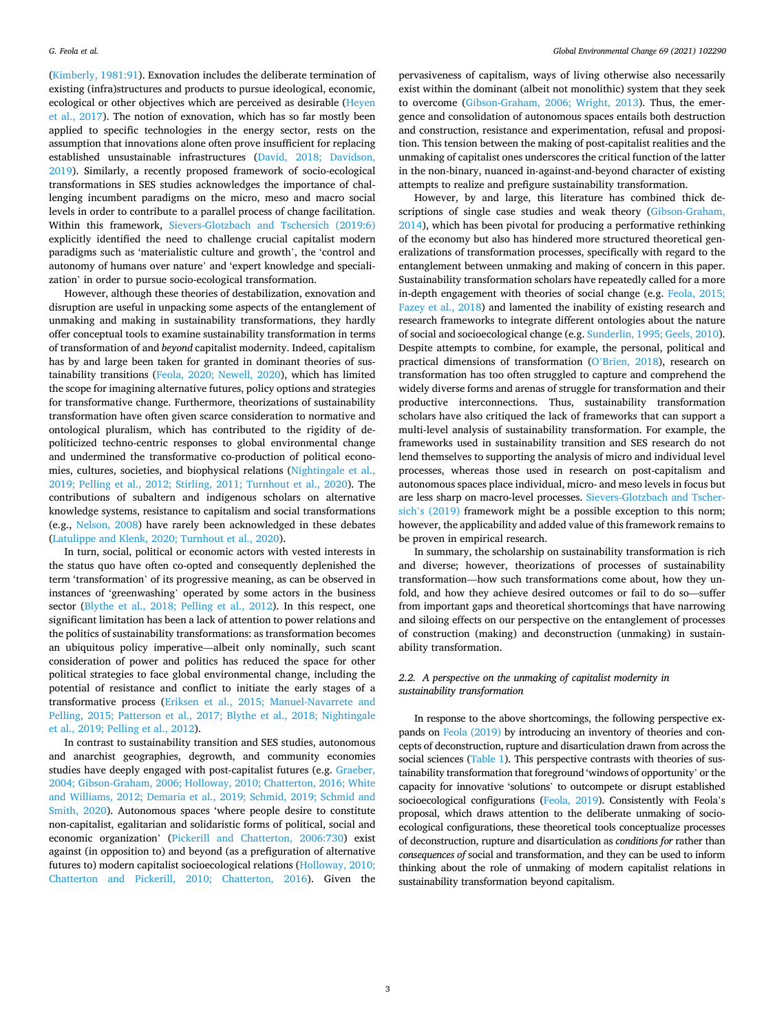([Kimberly, 1981:91](#page-11-0)). Exnovation includes the deliberate termination of existing (infra)structures and products to pursue ideological, economic, ecological or other objectives which are perceived as desirable [\(Heyen](#page-10-0)  [et al., 2017\)](#page-10-0). The notion of exnovation, which has so far mostly been applied to specific technologies in the energy sector, rests on the assumption that innovations alone often prove insufficient for replacing established unsustainable infrastructures [\(David, 2018; Davidson,](#page-10-0)  [2019\)](#page-10-0). Similarly, a recently proposed framework of socio-ecological transformations in SES studies acknowledges the importance of challenging incumbent paradigms on the micro, meso and macro social levels in order to contribute to a parallel process of change facilitation. Within this framework, [Sievers-Glotzbach and Tschersich \(2019:6\)](#page-11-0)  explicitly identified the need to challenge crucial capitalist modern paradigms such as 'materialistic culture and growth', the 'control and autonomy of humans over nature' and 'expert knowledge and specialization' in order to pursue socio-ecological transformation.

However, although these theories of destabilization, exnovation and disruption are useful in unpacking some aspects of the entanglement of unmaking and making in sustainability transformations, they hardly offer conceptual tools to examine sustainability transformation in terms of transformation of and *beyond* capitalist modernity. Indeed, capitalism has by and large been taken for granted in dominant theories of sustainability transitions [\(Feola, 2020; Newell, 2020\)](#page-10-0), which has limited the scope for imagining alternative futures, policy options and strategies for transformative change. Furthermore, theorizations of sustainability transformation have often given scarce consideration to normative and ontological pluralism, which has contributed to the rigidity of depoliticized techno-centric responses to global environmental change and undermined the transformative co-production of political economies, cultures, societies, and biophysical relations ([Nightingale et al.,](#page-11-0)  [2019; Pelling et al., 2012; Stirling, 2011; Turnhout et al., 2020](#page-11-0)). The contributions of subaltern and indigenous scholars on alternative knowledge systems, resistance to capitalism and social transformations (e.g., [Nelson, 2008](#page-11-0)) have rarely been acknowledged in these debates ([Latulippe and Klenk, 2020; Turnhout et al., 2020\)](#page-11-0).

In turn, social, political or economic actors with vested interests in the status quo have often co-opted and consequently deplenished the term 'transformation' of its progressive meaning, as can be observed in instances of 'greenwashing' operated by some actors in the business sector [\(Blythe et al., 2018;](#page-10-0) [Pelling et al., 2012\)](#page-11-0). In this respect, one significant limitation has been a lack of attention to power relations and the politics of sustainability transformations: as transformation becomes an ubiquitous policy imperative—albeit only nominally, such scant consideration of power and politics has reduced the space for other political strategies to face global environmental change, including the potential of resistance and conflict to initiate the early stages of a transformative process ([Eriksen et al., 2015; Manuel-Navarrete and](#page-10-0)  [Pelling, 2015; Patterson et al., 2017; Blythe et al., 2018; Nightingale](#page-10-0)  [et al., 2019;](#page-10-0) [Pelling et al., 2012](#page-11-0)).

In contrast to sustainability transition and SES studies, autonomous and anarchist geographies, degrowth, and community economies studies have deeply engaged with post-capitalist futures (e.g. [Graeber,](#page-10-0)  [2004; Gibson-Graham, 2006; Holloway, 2010; Chatterton, 2016; White](#page-10-0)  [and Williams, 2012; Demaria et al., 2019; Schmid, 2019; Schmid and](#page-10-0)  [Smith, 2020\)](#page-10-0). Autonomous spaces 'where people desire to constitute non-capitalist, egalitarian and solidaristic forms of political, social and economic organization' [\(Pickerill and Chatterton, 2006:730](#page-11-0)) exist against (in opposition to) and beyond (as a prefiguration of alternative futures to) modern capitalist socioecological relations [\(Holloway, 2010;](#page-10-0)  [Chatterton and Pickerill, 2010; Chatterton, 2016](#page-10-0)). Given the

pervasiveness of capitalism, ways of living otherwise also necessarily exist within the dominant (albeit not monolithic) system that they seek to overcome [\(Gibson-Graham, 2006; Wright, 2013\)](#page-10-0). Thus, the emergence and consolidation of autonomous spaces entails both destruction and construction, resistance and experimentation, refusal and proposition. This tension between the making of post-capitalist realities and the unmaking of capitalist ones underscores the critical function of the latter in the non-binary, nuanced in-against-and-beyond character of existing attempts to realize and prefigure sustainability transformation.

However, by and large, this literature has combined thick descriptions of single case studies and weak theory [\(Gibson-Graham,](#page-10-0)  [2014\)](#page-10-0), which has been pivotal for producing a performative rethinking of the economy but also has hindered more structured theoretical generalizations of transformation processes, specifically with regard to the entanglement between unmaking and making of concern in this paper. Sustainability transformation scholars have repeatedly called for a more in-depth engagement with theories of social change (e.g. [Feola, 2015;](#page-10-0)  [Fazey et al., 2018](#page-10-0)) and lamented the inability of existing research and research frameworks to integrate different ontologies about the nature of social and socioecological change (e.g. [Sunderlin, 1995; Geels, 2010](#page-11-0)). Despite attempts to combine, for example, the personal, political and practical dimensions of transformation (O'[Brien, 2018](#page-11-0)), research on transformation has too often struggled to capture and comprehend the widely diverse forms and arenas of struggle for transformation and their productive interconnections. Thus, sustainability transformation scholars have also critiqued the lack of frameworks that can support a multi-level analysis of sustainability transformation. For example, the frameworks used in sustainability transition and SES research do not lend themselves to supporting the analysis of micro and individual level processes, whereas those used in research on post-capitalism and autonomous spaces place individual, micro- and meso levels in focus but are less sharp on macro-level processes. [Sievers-Glotzbach and Tscher](#page-11-0)sich'[s \(2019\)](#page-11-0) framework might be a possible exception to this norm; however, the applicability and added value of this framework remains to be proven in empirical research.

In summary, the scholarship on sustainability transformation is rich and diverse; however, theorizations of processes of sustainability transformation—how such transformations come about, how they unfold, and how they achieve desired outcomes or fail to do so—suffer from important gaps and theoretical shortcomings that have narrowing and siloing effects on our perspective on the entanglement of processes of construction (making) and deconstruction (unmaking) in sustainability transformation.

## *2.2. A perspective on the unmaking of capitalist modernity in sustainability transformation*

In response to the above shortcomings, the following perspective expands on [Feola \(2019\)](#page-10-0) by introducing an inventory of theories and concepts of deconstruction, rupture and disarticulation drawn from across the social sciences ([Table 1\)](#page-3-0). This perspective contrasts with theories of sustainability transformation that foreground 'windows of opportunity' or the capacity for innovative 'solutions' to outcompete or disrupt established socioecological configurations [\(Feola, 2019\)](#page-10-0). Consistently with Feola's proposal, which draws attention to the deliberate unmaking of socioecological configurations, these theoretical tools conceptualize processes of deconstruction, rupture and disarticulation as *conditions for* rather than *consequences of* social and transformation, and they can be used to inform thinking about the role of unmaking of modern capitalist relations in sustainability transformation beyond capitalism.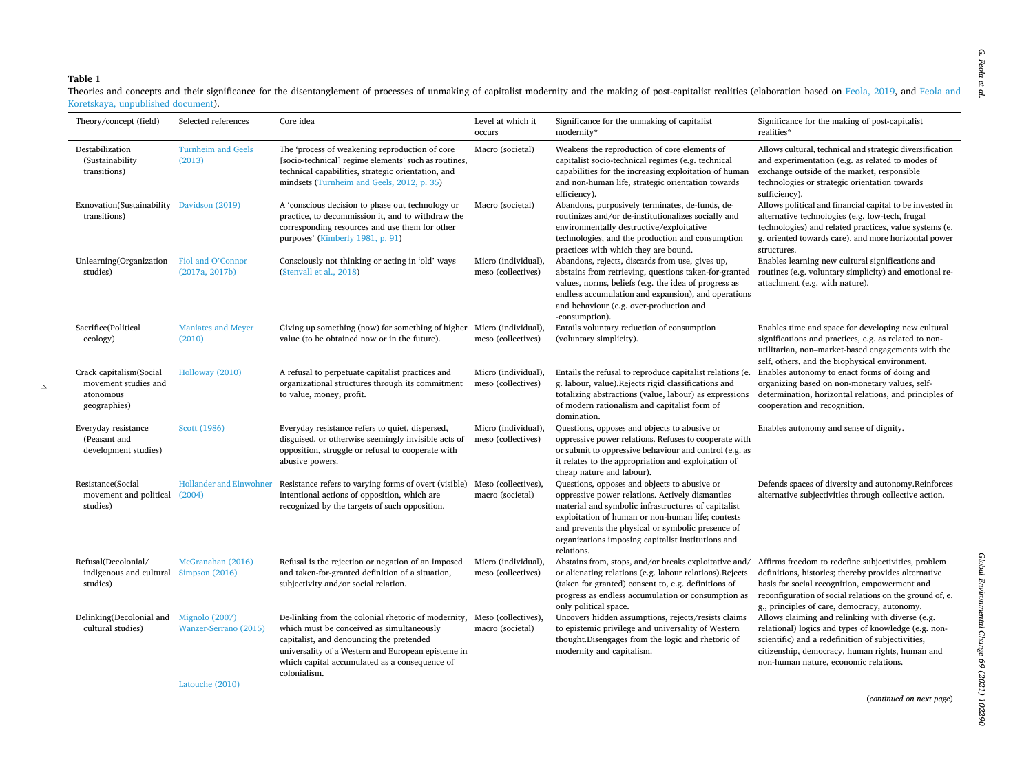## <span id="page-3-0"></span>**Table 1**

Theories and concepts and their significance for the disentanglement of processes of unmaking of capitalist modernity and the making of post-capitalist realities (elaboration based on [Feola, 2019,](#page-10-0) and [Feola and](#page-10-0) [Koretskaya, unpublished document](#page-10-0)).  $\overline{\phantom{0}}$ 

| Theory/concept (field)                                                       | Selected references                        | Core idea                                                                                                                                                                                                                                                                               | Level at which it<br>occurs               | Significance for the unmaking of capitalist<br>modernity*                                                                                                                                                                                                                                                                            | Significance for the making of post-capitalist<br>realities*                                                                                                                                                                                                             |
|------------------------------------------------------------------------------|--------------------------------------------|-----------------------------------------------------------------------------------------------------------------------------------------------------------------------------------------------------------------------------------------------------------------------------------------|-------------------------------------------|--------------------------------------------------------------------------------------------------------------------------------------------------------------------------------------------------------------------------------------------------------------------------------------------------------------------------------------|--------------------------------------------------------------------------------------------------------------------------------------------------------------------------------------------------------------------------------------------------------------------------|
| Destabilization<br>(Sustainability<br>transitions)                           | <b>Turnheim and Geels</b><br>(2013)        | The 'process of weakening reproduction of core<br>[socio-technical] regime elements' such as routines,<br>technical capabilities, strategic orientation, and<br>mindsets (Turnheim and Geels, 2012, p. 35)                                                                              | Macro (societal)                          | Weakens the reproduction of core elements of<br>capitalist socio-technical regimes (e.g. technical<br>capabilities for the increasing exploitation of human<br>and non-human life, strategic orientation towards<br>efficiency).                                                                                                     | Allows cultural, technical and strategic diversification<br>and experimentation (e.g. as related to modes of<br>exchange outside of the market, responsible<br>technologies or strategic orientation towards<br>sufficiency).                                            |
| Exnovation(Sustainability Davidson (2019)<br>transitions)                    |                                            | A 'conscious decision to phase out technology or<br>practice, to decommission it, and to withdraw the<br>corresponding resources and use them for other<br>purposes' (Kimberly 1981, p. 91)                                                                                             | Macro (societal)                          | Abandons, purposively terminates, de-funds, de-<br>routinizes and/or de-institutionalizes socially and<br>environmentally destructive/exploitative<br>technologies, and the production and consumption<br>practices with which they are bound.                                                                                       | Allows political and financial capital to be invested in<br>alternative technologies (e.g. low-tech, frugal<br>technologies) and related practices, value systems (e.<br>g. oriented towards care), and more horizontal power<br>structures.                             |
| Unlearning(Organization<br>studies)                                          | Fiol and O'Connor<br>(2017a, 2017b)        | Consciously not thinking or acting in 'old' ways<br>(Stenvall et al., 2018)                                                                                                                                                                                                             | Micro (individual),<br>meso (collectives) | Abandons, rejects, discards from use, gives up,<br>abstains from retrieving, questions taken-for-granted<br>values, norms, beliefs (e.g. the idea of progress as<br>endless accumulation and expansion), and operations<br>and behaviour (e.g. over-production and<br>-consumption).                                                 | Enables learning new cultural significations and<br>routines (e.g. voluntary simplicity) and emotional re-<br>attachment (e.g. with nature).                                                                                                                             |
| Sacrifice(Political<br>ecology)                                              | <b>Maniates and Meyer</b><br>(2010)        | Giving up something (now) for something of higher Micro (individual),<br>value (to be obtained now or in the future).                                                                                                                                                                   | meso (collectives)                        | Entails voluntary reduction of consumption<br>(voluntary simplicity).                                                                                                                                                                                                                                                                | Enables time and space for developing new cultural<br>significations and practices, e.g. as related to non-<br>utilitarian, non-market-based engagements with the<br>self, others, and the biophysical environment.                                                      |
| Crack capitalism(Social<br>movement studies and<br>atonomous<br>geographies) | Holloway (2010)                            | A refusal to perpetuate capitalist practices and<br>organizational structures through its commitment<br>to value, money, profit.                                                                                                                                                        | Micro (individual),<br>meso (collectives) | Entails the refusal to reproduce capitalist relations (e.<br>g. labour, value). Rejects rigid classifications and<br>totalizing abstractions (value, labour) as expressions<br>of modern rationalism and capitalist form of<br>domination.                                                                                           | Enables autonomy to enact forms of doing and<br>organizing based on non-monetary values, self-<br>determination, horizontal relations, and principles of<br>cooperation and recognition.                                                                                 |
| Everyday resistance<br>(Peasant and<br>development studies)                  | Scott (1986)                               | Everyday resistance refers to quiet, dispersed,<br>disguised, or otherwise seemingly invisible acts of<br>opposition, struggle or refusal to cooperate with<br>abusive powers.                                                                                                          | Micro (individual),<br>meso (collectives) | Questions, opposes and objects to abusive or<br>oppressive power relations. Refuses to cooperate with<br>or submit to oppressive behaviour and control (e.g. as<br>it relates to the appropriation and exploitation of<br>cheap nature and labour).                                                                                  | Enables autonomy and sense of dignity.                                                                                                                                                                                                                                   |
| Resistance(Social<br>movement and political (2004)<br>studies)               | Hollander and Einwohner                    | Resistance refers to varying forms of overt (visible) Meso (collectives),<br>intentional actions of opposition, which are<br>recognized by the targets of such opposition.                                                                                                              | macro (societal)                          | Questions, opposes and objects to abusive or<br>oppressive power relations. Actively dismantles<br>material and symbolic infrastructures of capitalist<br>exploitation of human or non-human life; contests<br>and prevents the physical or symbolic presence of<br>organizations imposing capitalist institutions and<br>relations. | Defends spaces of diversity and autonomy. Reinforces<br>alternative subjectivities through collective action.                                                                                                                                                            |
| Refusal(Decolonial/<br>indigenous and cultural Simpson (2016)<br>studies)    | McGranahan (2016)                          | Refusal is the rejection or negation of an imposed<br>and taken-for-granted definition of a situation,<br>subjectivity and/or social relation.                                                                                                                                          | Micro (individual),<br>meso (collectives) | Abstains from, stops, and/or breaks exploitative and/<br>or alienating relations (e.g. labour relations). Rejects<br>(taken for granted) consent to, e.g. definitions of<br>progress as endless accumulation or consumption as<br>only political space.                                                                              | Affirms freedom to redefine subjectivities, problem<br>definitions, histories; thereby provides alternative<br>basis for social recognition, empowerment and<br>reconfiguration of social relations on the ground of, e.<br>g., principles of care, democracy, autonomy. |
| Delinking(Decolonial and Mignolo (2007)<br>cultural studies)                 | Wanzer-Serrano (2015)<br>$x = 1$ (0.01.02) | De-linking from the colonial rhetoric of modernity, Meso (collectives),<br>which must be conceived as simultaneously<br>capitalist, and denouncing the pretended<br>universality of a Western and European episteme in<br>which capital accumulated as a consequence of<br>colonialism. | macro (societal)                          | Uncovers hidden assumptions, rejects/resists claims<br>to epistemic privilege and universality of Western<br>thought.Disengages from the logic and rhetoric of<br>modernity and capitalism.                                                                                                                                          | Allows claiming and relinking with diverse (e.g.<br>relational) logics and types of knowledge (e.g. non-<br>scientific) and a redefinition of subjectivities,<br>citizenship, democracy, human rights, human and<br>non-human nature, economic relations.                |

[Latouche \(2010\)](#page-11-0)

(*continued on next page*)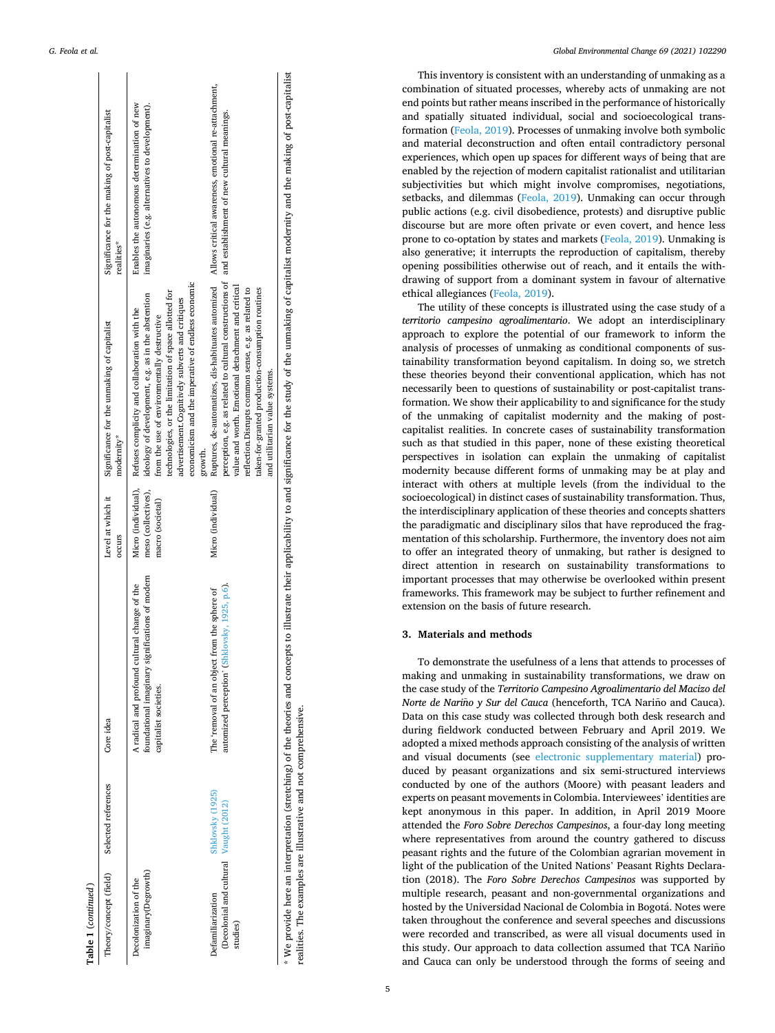|                     | Significance for the making of post-capitalist<br>realities* | imaginaries (e.g. alternatives to development).<br>Enables the autonomous determination of new                                                                                                                                                                                                                                                       |                                                                                                                                                                                                                                                                                                                                                                                                                      | * We would have attacking of the thomas ond comes to the thorse illustrated the individual individual the model of the model in the model of the model in the control the control the control the control the control of the m |
|---------------------|--------------------------------------------------------------|------------------------------------------------------------------------------------------------------------------------------------------------------------------------------------------------------------------------------------------------------------------------------------------------------------------------------------------------------|----------------------------------------------------------------------------------------------------------------------------------------------------------------------------------------------------------------------------------------------------------------------------------------------------------------------------------------------------------------------------------------------------------------------|--------------------------------------------------------------------------------------------------------------------------------------------------------------------------------------------------------------------------------|
|                     | Significance for the unmaking of capitalist<br>modernity*    | economicism and the imperative of endless economic<br>technologies, or the limitation of space allotted for<br>ideology of development, e.g. as in the abstention<br>advertisement.Cognitively subverts and critiques<br>Micro (individual), Refuses complicity and collaboration with the<br>from the use of environmentally destructive<br>growth. | Ruptures, de-automatizes, dis-habituates automized Allows critical awareness, emotional re-attachment,<br>perception, e.g. as related to cultural constructions of and establishment of new cultural meanings.<br>value and worth. Emotional detachment and critical<br>reflection. Disrupts common sense, e.g. as related to<br>taken-for-granted production-consumption routines<br>and utilitarian value systems. |                                                                                                                                                                                                                                |
|                     | Level at which it<br>occurs                                  | meso (collectives),<br>macro (societal)                                                                                                                                                                                                                                                                                                              | Micro (individual)                                                                                                                                                                                                                                                                                                                                                                                                   |                                                                                                                                                                                                                                |
|                     | Core idea                                                    | foundational imaginary significations of modern<br>A radical and profound cultural change of the<br>capitalist societies.                                                                                                                                                                                                                            | automized perception' (Shklovsky, 1925, p.6).<br>The 'removal of an object from the sphere of                                                                                                                                                                                                                                                                                                                        |                                                                                                                                                                                                                                |
|                     | Selected references                                          |                                                                                                                                                                                                                                                                                                                                                      | Shklovsky (1925)                                                                                                                                                                                                                                                                                                                                                                                                     |                                                                                                                                                                                                                                |
| Table 1 (continued) | Theory/concept (field)                                       | imaginary(Degrowth)<br>Decolonization of the                                                                                                                                                                                                                                                                                                         | (Decolonial and cultural Vaught (2012)<br>Defamiliarization<br>studies)                                                                                                                                                                                                                                                                                                                                              |                                                                                                                                                                                                                                |

*G. Feola et al.* 

\* We provide here an interpretation (stretching) of the theories and concepts to illustrate their applicability to and significance for the study of the unmaking of capitalist modernity and the making of post-capitalist making or post-capitalist дe and rnity ┋ ot capitalist unmaking Ξ ä ÌД 'nе ĕ мұнштанс  $_{\rm Hd}$  $\overline{a}$ аррисарицу Inerr  $_{\rm{mustate}}$ ë concepts and theories realities. The examples are illustrative and not comprehensive. realities. The examples are illustrative and not comprehensive. provide here an interpretation (stretching) or the e<br>S

*Global Environmental Change 69 (2021) 102290*

This inventory is consistent with an understanding of unmaking as a combination of situated processes, whereby acts of unmaking are not end points but rather means inscribed in the performance of historically and spatially situated individual, social and socioecological transformation [\(Feola, 2019\)](#page-10-0). Processes of unmaking involve both symbolic and material deconstruction and often entail contradictory personal experiences, which open up spaces for different ways of being that are enabled by the rejection of modern capitalist rationalist and utilitarian subjectivities but which might involve compromises, negotiations, setbacks, and dilemmas ([Feola, 2019](#page-10-0)). Unmaking can occur through public actions (e.g. civil disobedience, protests) and disruptive public discourse but are more often private or even covert, and hence less prone to co-optation by states and markets ([Feola, 2019](#page-10-0)). Unmaking is also generative; it interrupts the reproduction of capitalism, thereby opening possibilities otherwise out of reach, and it entails the withdrawing of support from a dominant system in favour of alternative ethical allegiances [\(Feola, 2019](#page-10-0)).

The utility of these concepts is illustrated using the case study of a *territorio campesino agroalimentario*. We adopt an interdisciplinary approach to explore the potential of our framework to inform the analysis of processes of unmaking as conditional components of sustainability transformation beyond capitalism. In doing so, we stretch these theories beyond their conventional application, which has not necessarily been to questions of sustainability or post-capitalist transformation. We show their applicability to and significance for the study of the unmaking of capitalist modernity and the making of postcapitalist realities. In concrete cases of sustainability transformation such as that studied in this paper, none of these existing theoretical perspectives in isolation can explain the unmaking of capitalist modernity because different forms of unmaking may be at play and interact with others at multiple levels (from the individual to the socioecological) in distinct cases of sustainability transformation. Thus, the interdisciplinary application of these theories and concepts shatters the paradigmatic and disciplinary silos that have reproduced the fragmentation of this scholarship. Furthermore, the inventory does not aim to offer an integrated theory of unmaking, but rather is designed to direct attention in research on sustainability transformations to important processes that may otherwise be overlooked within present frameworks. This framework may be subject to further refinement and extension on the basis of future research.

# **3. Materials and methods**

To demonstrate the usefulness of a lens that attends to processes of making and unmaking in sustainability transformations, we draw on the case study of the *Territorio Campesino Agroalimentario del Macizo del Norte de Nariño y Sur del Cauca* (henceforth, TCA Nariño and Cauca). Data on this case study was collected through both desk research and during fieldwork conducted between February and April 2019. We adopted a mixed methods approach consisting of the analysis of written and visual documents (see electronic supplementary material) produced by peasant organizations and six semi-structured interviews conducted by one of the authors (Moore) with peasant leaders and experts on peasant movements in Colombia. Interviewees' identities are kept anonymous in this paper. In addition, in April 2019 Moore attended the *Foro Sobre Derechos Campesinos*, a four-day long meeting where representatives from around the country gathered to discuss peasant rights and the future of the Colombian agrarian movement in light of the publication of the United Nations' Peasant Rights Declaration (2018). The *Foro Sobre Derechos Campesinos* was supported by multiple research, peasant and non-governmental organizations and hosted by the Universidad Nacional de Colombia in Bogotá. Notes were taken throughout the conference and several speeches and discussions were recorded and transcribed, as were all visual documents used in this study. Our approach to data collection assumed that TCA Nariño and Cauca can only be understood through the forms of seeing and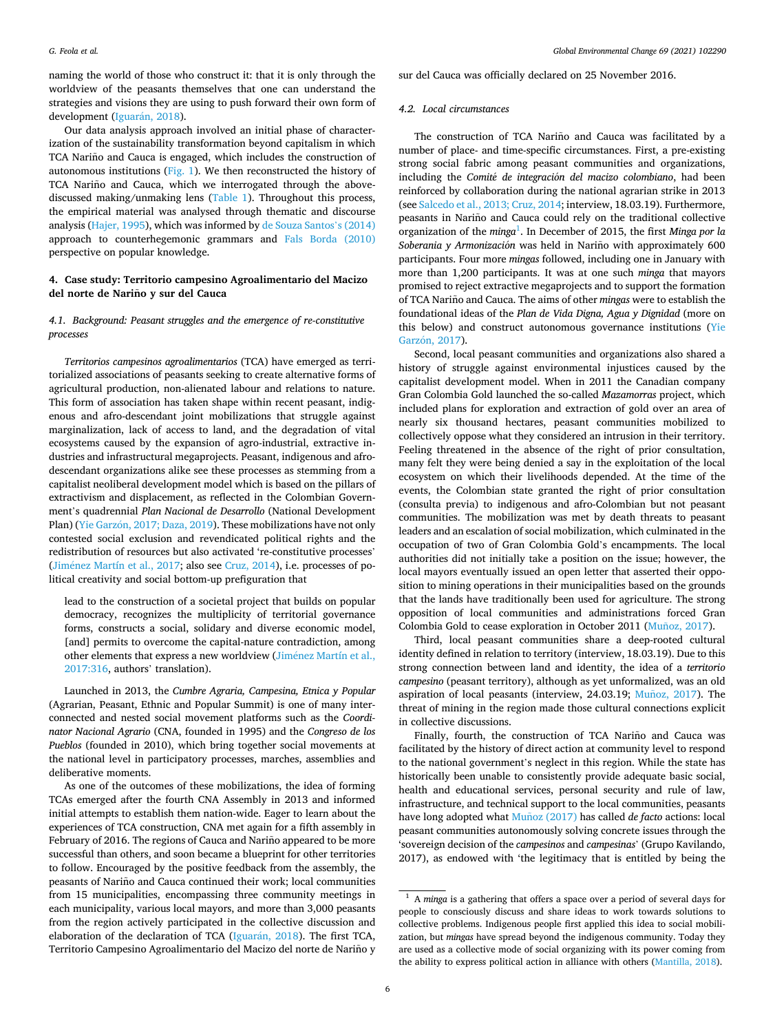naming the world of those who construct it: that it is only through the worldview of the peasants themselves that one can understand the strategies and visions they are using to push forward their own form of development (Iguarán, 2018).

Our data analysis approach involved an initial phase of characterization of the sustainability transformation beyond capitalism in which TCA Nariño and Cauca is engaged, which includes the construction of autonomous institutions [\(Fig. 1](#page-7-0)). We then reconstructed the history of TCA Nariño and Cauca, which we interrogated through the abovediscussed making/unmaking lens [\(Table 1\)](#page-3-0). Throughout this process, the empirical material was analysed through thematic and discourse analysis [\(Hajer, 1995\)](#page-10-0), which was informed by [de Souza Santos](#page-10-0)'s (2014) approach to counterhegemonic grammars and [Fals Borda \(2010\)](#page-10-0)  perspective on popular knowledge.

## **4. Case study: Territorio campesino Agroalimentario del Macizo del norte de Narino** ˜ **y sur del Cauca**

# *4.1. Background: Peasant struggles and the emergence of re-constitutive processes*

*Territorios campesinos agroalimentarios* (TCA) have emerged as territorialized associations of peasants seeking to create alternative forms of agricultural production, non-alienated labour and relations to nature. This form of association has taken shape within recent peasant, indigenous and afro-descendant joint mobilizations that struggle against marginalization, lack of access to land, and the degradation of vital ecosystems caused by the expansion of agro-industrial, extractive industries and infrastructural megaprojects. Peasant, indigenous and afrodescendant organizations alike see these processes as stemming from a capitalist neoliberal development model which is based on the pillars of extractivism and displacement, as reflected in the Colombian Government's quadrennial *Plan Nacional de Desarrollo* (National Development Plan) (Yie Garzón, [2017; Daza, 2019\)](#page-11-0). These mobilizations have not only contested social exclusion and revendicated political rights and the redistribution of resources but also activated 're-constitutive processes' (Jiménez Martín et al., 2017; also see [Cruz, 2014\)](#page-10-0), i.e. processes of political creativity and social bottom-up prefiguration that

lead to the construction of a societal project that builds on popular democracy, recognizes the multiplicity of territorial governance forms, constructs a social, solidary and diverse economic model, [and] permits to overcome the capital-nature contradiction, among other elements that express a new worldview (Jiménez Martín et al., [2017:316](#page-11-0), authors' translation).

Launched in 2013, the *Cumbre Agraria, Campesina, Etnica y Popular*  (Agrarian, Peasant, Ethnic and Popular Summit) is one of many interconnected and nested social movement platforms such as the *Coordinator Nacional Agrario* (CNA, founded in 1995) and the *Congreso de los Pueblos* (founded in 2010), which bring together social movements at the national level in participatory processes, marches, assemblies and deliberative moments.

As one of the outcomes of these mobilizations, the idea of forming TCAs emerged after the fourth CNA Assembly in 2013 and informed initial attempts to establish them nation-wide. Eager to learn about the experiences of TCA construction, CNA met again for a fifth assembly in February of 2016. The regions of Cauca and Nariño appeared to be more successful than others, and soon became a blueprint for other territories to follow. Encouraged by the positive feedback from the assembly, the peasants of Nariño and Cauca continued their work; local communities from 15 municipalities, encompassing three community meetings in each municipality, various local mayors, and more than 3,000 peasants from the region actively participated in the collective discussion and elaboration of the declaration of TCA (Iguarán, 2018). The first TCA, Territorio Campesino Agroalimentario del Macizo del norte de Nariño y

sur del Cauca was officially declared on 25 November 2016.

### *4.2. Local circumstances*

The construction of TCA Nariño and Cauca was facilitated by a number of place- and time-specific circumstances. First, a pre-existing strong social fabric among peasant communities and organizations, including the *Comité de integración del macizo colombiano*, had been reinforced by collaboration during the national agrarian strike in 2013 (see [Salcedo et al., 2013; Cruz, 2014;](#page-11-0) interview, 18.03.19). Furthermore, peasants in Nariño and Cauca could rely on the traditional collective organization of the *minga*<sup>1</sup>. In December of 2015, the first *Minga por la* Soberania y Armonización was held in Nariño with approximately 600 participants. Four more *mingas* followed, including one in January with more than 1,200 participants. It was at one such *minga* that mayors promised to reject extractive megaprojects and to support the formation of TCA Nariño and Cauca. The aims of other *mingas* were to establish the foundational ideas of the *Plan de Vida Digna, Agua y Dignidad* (more on this below) and construct autonomous governance institutions [\(Yie](#page-11-0)  Garzón, 2017).

Second, local peasant communities and organizations also shared a history of struggle against environmental injustices caused by the capitalist development model. When in 2011 the Canadian company Gran Colombia Gold launched the so-called *Mazamorras* project, which included plans for exploration and extraction of gold over an area of nearly six thousand hectares, peasant communities mobilized to collectively oppose what they considered an intrusion in their territory. Feeling threatened in the absence of the right of prior consultation, many felt they were being denied a say in the exploitation of the local ecosystem on which their livelihoods depended. At the time of the events, the Colombian state granted the right of prior consultation (consulta previa) to indigenous and afro-Colombian but not peasant communities. The mobilization was met by death threats to peasant leaders and an escalation of social mobilization, which culminated in the occupation of two of Gran Colombia Gold's encampments. The local authorities did not initially take a position on the issue; however, the local mayors eventually issued an open letter that asserted their opposition to mining operations in their municipalities based on the grounds that the lands have traditionally been used for agriculture. The strong opposition of local communities and administrations forced Gran Colombia Gold to cease exploration in October 2011 (Muñoz, 2017).

Third, local peasant communities share a deep-rooted cultural identity defined in relation to territory (interview, 18.03.19). Due to this strong connection between land and identity, the idea of a *territorio campesino* (peasant territory), although as yet unformalized, was an old aspiration of local peasants (interview, 24.03.19; Muñoz, 2017). The threat of mining in the region made those cultural connections explicit in collective discussions.

Finally, fourth, the construction of TCA Nariño and Cauca was facilitated by the history of direct action at community level to respond to the national government's neglect in this region. While the state has historically been unable to consistently provide adequate basic social, health and educational services, personal security and rule of law, infrastructure, and technical support to the local communities, peasants have long adopted what Muñoz (2017) has called *de facto* actions: local peasant communities autonomously solving concrete issues through the 'sovereign decision of the *campesinos* and *campesinas*' (Grupo Kavilando, 2017), as endowed with 'the legitimacy that is entitled by being the

<sup>1</sup> A *minga* is a gathering that offers a space over a period of several days for people to consciously discuss and share ideas to work towards solutions to collective problems. Indigenous people first applied this idea to social mobilization, but *mingas* have spread beyond the indigenous community. Today they are used as a collective mode of social organizing with its power coming from the ability to express political action in alliance with others ([Mantilla, 2018\)](#page-11-0).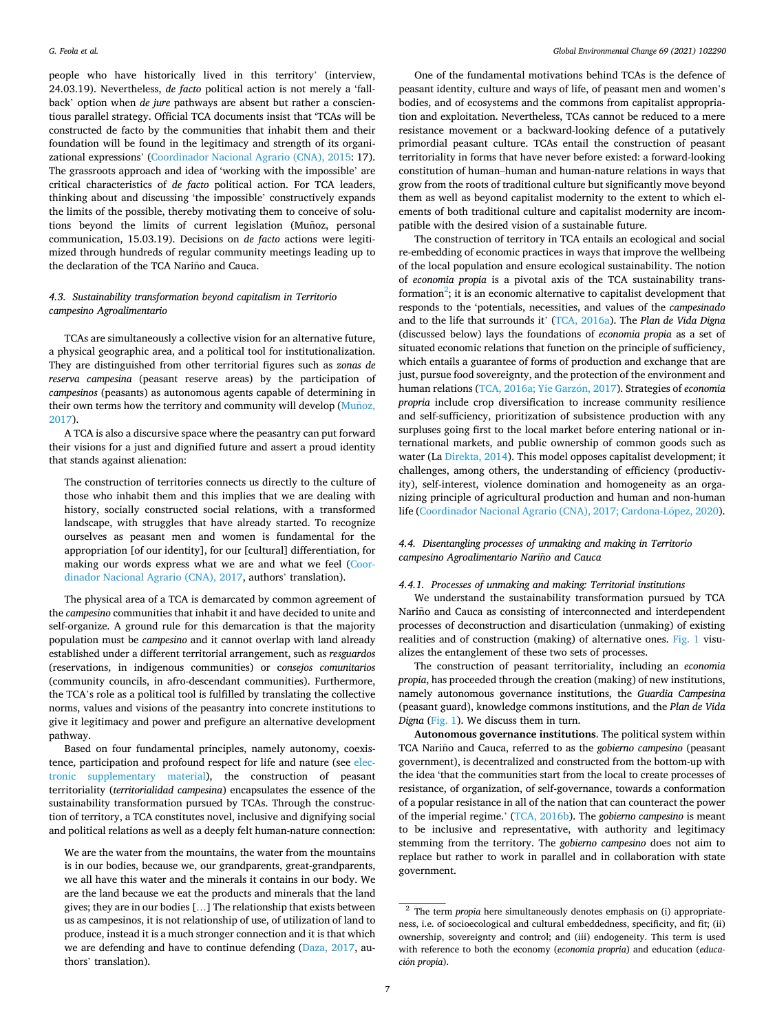people who have historically lived in this territory' (interview, 24.03.19). Nevertheless, *de facto* political action is not merely a 'fallback' option when *de jure* pathways are absent but rather a conscientious parallel strategy. Official TCA documents insist that 'TCAs will be constructed de facto by the communities that inhabit them and their foundation will be found in the legitimacy and strength of its organizational expressions' [\(Coordinador Nacional Agrario \(CNA\), 2015:](#page-10-0) 17). The grassroots approach and idea of 'working with the impossible' are critical characteristics of *de facto* political action. For TCA leaders, thinking about and discussing 'the impossible' constructively expands the limits of the possible, thereby motivating them to conceive of solutions beyond the limits of current legislation (Muñoz, personal communication, 15.03.19). Decisions on *de facto* actions were legitimized through hundreds of regular community meetings leading up to the declaration of the TCA Nariño and Cauca.

## *4.3. Sustainability transformation beyond capitalism in Territorio campesino Agroalimentario*

TCAs are simultaneously a collective vision for an alternative future, a physical geographic area, and a political tool for institutionalization. They are distinguished from other territorial figures such as *zonas de reserva campesina* (peasant reserve areas) by the participation of *campesinos* (peasants) as autonomous agents capable of determining in their own terms how the territory and community will develop (Munoz, [2017\)](#page-11-0).

A TCA is also a discursive space where the peasantry can put forward their visions for a just and dignified future and assert a proud identity that stands against alienation:

The construction of territories connects us directly to the culture of those who inhabit them and this implies that we are dealing with history, socially constructed social relations, with a transformed landscape, with struggles that have already started. To recognize ourselves as peasant men and women is fundamental for the appropriation [of our identity], for our [cultural] differentiation, for making our words express what we are and what we feel [\(Coor](#page-10-0)[dinador Nacional Agrario \(CNA\), 2017,](#page-10-0) authors' translation).

The physical area of a TCA is demarcated by common agreement of the *campesino* communities that inhabit it and have decided to unite and self-organize. A ground rule for this demarcation is that the majority population must be *campesino* and it cannot overlap with land already established under a different territorial arrangement, such as *resguardos*  (reservations, in indigenous communities) or c*onsejos comunitarios*  (community councils, in afro-descendant communities). Furthermore, the TCA's role as a political tool is fulfilled by translating the collective norms, values and visions of the peasantry into concrete institutions to give it legitimacy and power and prefigure an alternative development pathway.

Based on four fundamental principles, namely autonomy, coexistence, participation and profound respect for life and nature (see electronic supplementary material), the construction of peasant territoriality (*territorialidad campesina*) encapsulates the essence of the sustainability transformation pursued by TCAs. Through the construction of territory, a TCA constitutes novel, inclusive and dignifying social and political relations as well as a deeply felt human-nature connection:

We are the water from the mountains, the water from the mountains is in our bodies, because we, our grandparents, great-grandparents, we all have this water and the minerals it contains in our body. We are the land because we eat the products and minerals that the land gives; they are in our bodies […] The relationship that exists between us as campesinos, it is not relationship of use, of utilization of land to produce, instead it is a much stronger connection and it is that which we are defending and have to continue defending [\(Daza, 2017,](#page-10-0) authors' translation).

One of the fundamental motivations behind TCAs is the defence of peasant identity, culture and ways of life, of peasant men and women's bodies, and of ecosystems and the commons from capitalist appropriation and exploitation. Nevertheless, TCAs cannot be reduced to a mere resistance movement or a backward-looking defence of a putatively primordial peasant culture. TCAs entail the construction of peasant territoriality in forms that have never before existed: a forward-looking constitution of human–human and human-nature relations in ways that grow from the roots of traditional culture but significantly move beyond them as well as beyond capitalist modernity to the extent to which elements of both traditional culture and capitalist modernity are incompatible with the desired vision of a sustainable future.

The construction of territory in TCA entails an ecological and social re-embedding of economic practices in ways that improve the wellbeing of the local population and ensure ecological sustainability. The notion of *economia propia* is a pivotal axis of the TCA sustainability transformation<sup>2</sup>; it is an economic alternative to capitalist development that responds to the 'potentials, necessities, and values of the *campesinado*  and to the life that surrounds it' ([TCA, 2016a\)](#page-11-0). The *Plan de Vida Digna*  (discussed below) lays the foundations of *economia propia* as a set of situated economic relations that function on the principle of sufficiency, which entails a guarantee of forms of production and exchange that are just, pursue food sovereignty, and the protection of the environment and human relations (TCA, 2016a; Yie Garzón, 2017). Strategies of *economia propria* include crop diversification to increase community resilience and self-sufficiency, prioritization of subsistence production with any surpluses going first to the local market before entering national or international markets, and public ownership of common goods such as water (La [Direkta, 2014](#page-11-0)). This model opposes capitalist development; it challenges, among others, the understanding of efficiency (productivity), self-interest, violence domination and homogeneity as an organizing principle of agricultural production and human and non-human life (Coordinador Nacional Agrario (CNA), 2017; Cardona-López, 2020).

## *4.4. Disentangling processes of unmaking and making in Territorio campesino Agroalimentario Narino* ˜ *and Cauca*

## *4.4.1. Processes of unmaking and making: Territorial institutions*

We understand the sustainability transformation pursued by TCA Nariño and Cauca as consisting of interconnected and interdependent processes of deconstruction and disarticulation (unmaking) of existing realities and of construction (making) of alternative ones. [Fig. 1](#page-7-0) visualizes the entanglement of these two sets of processes.

The construction of peasant territoriality, including an *economia propia*, has proceeded through the creation (making) of new institutions, namely autonomous governance institutions, the *Guardia Campesina*  (peasant guard), knowledge commons institutions, and the *Plan de Vida Digna* [\(Fig. 1](#page-7-0)). We discuss them in turn.

**Autonomous governance institutions**. The political system within TCA Nariño and Cauca, referred to as the *gobierno campesino* (peasant government), is decentralized and constructed from the bottom-up with the idea 'that the communities start from the local to create processes of resistance, of organization, of self-governance, towards a conformation of a popular resistance in all of the nation that can counteract the power of the imperial regime.' [\(TCA, 2016b](#page-11-0)). The *gobierno campesino* is meant to be inclusive and representative, with authority and legitimacy stemming from the territory. The *gobierno campesino* does not aim to replace but rather to work in parallel and in collaboration with state government.

<sup>2</sup> The term *propia* here simultaneously denotes emphasis on (i) appropriateness, i.e. of socioecological and cultural embeddedness, specificity, and fit; (ii) ownership, sovereignty and control; and (iii) endogeneity. This term is used with reference to both the economy (*economia propria*) and education (*educaci*´ *on propia*).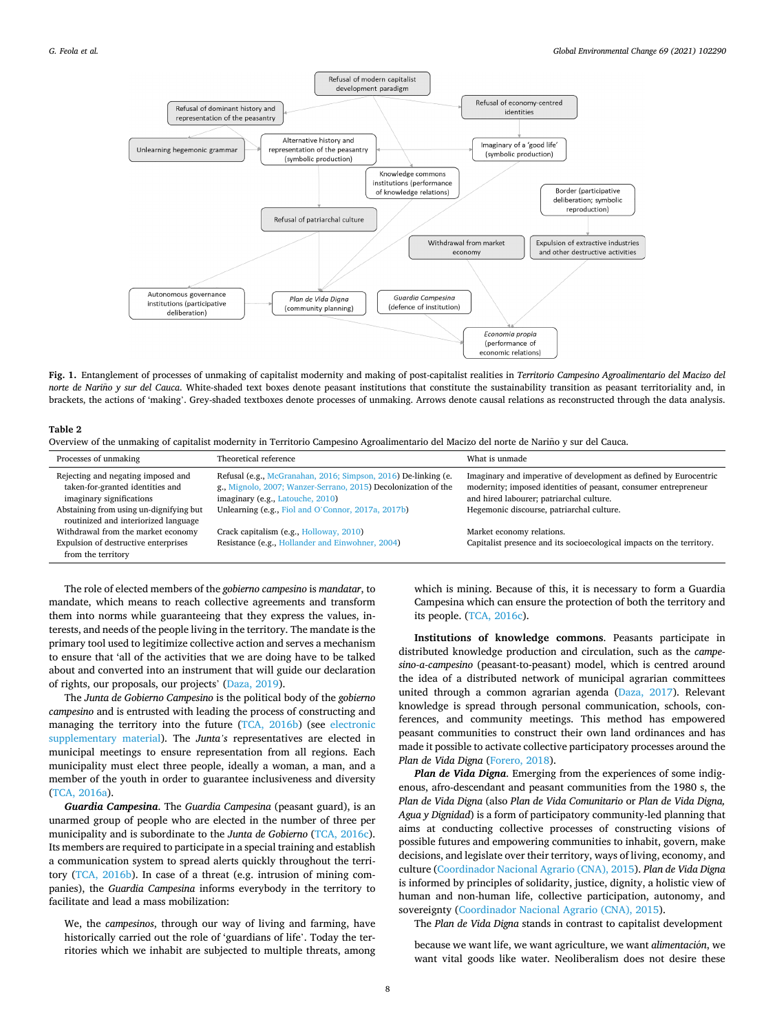<span id="page-7-0"></span>

**Fig. 1.** Entanglement of processes of unmaking of capitalist modernity and making of post-capitalist realities in *Territorio Campesino Agroalimentario del Macizo del norte de Nariño y sur del Cauca*. White-shaded text boxes denote peasant institutions that constitute the sustainability transition as peasant territoriality and, in brackets, the actions of 'making'. Grey-shaded textboxes denote processes of unmaking. Arrows denote causal relations as reconstructed through the data analysis.

#### **Table 2**

Overview of the unmaking of capitalist modernity in Territorio Campesino Agroalimentario del Macizo del norte de Nariño y sur del Cauca.

| Processes of unmaking                                                                              | Theoretical reference                                                                                                                                                | What is unmade                                                                                                                                                                   |
|----------------------------------------------------------------------------------------------------|----------------------------------------------------------------------------------------------------------------------------------------------------------------------|----------------------------------------------------------------------------------------------------------------------------------------------------------------------------------|
| Rejecting and negating imposed and<br>taken-for-granted identities and<br>imaginary significations | Refusal (e.g., McGranahan, 2016; Simpson, 2016) De-linking (e.<br>g., Mignolo, 2007; Wanzer-Serrano, 2015) Decolonization of the<br>imaginary (e.g., Latouche, 2010) | Imaginary and imperative of development as defined by Eurocentric<br>modernity; imposed identities of peasant, consumer entrepreneur<br>and hired labourer; patriarchal culture. |
| Abstaining from using un-dignifying but<br>routinized and interiorized language                    | Unlearning (e.g., Fiol and O'Connor, 2017a, 2017b)                                                                                                                   | Hegemonic discourse, patriarchal culture.                                                                                                                                        |
| Withdrawal from the market economy                                                                 | Crack capitalism (e.g., Holloway, 2010)                                                                                                                              | Market economy relations.                                                                                                                                                        |
| Expulsion of destructive enterprises<br>from the territory                                         | Resistance (e.g., Hollander and Einwohner, 2004)                                                                                                                     | Capitalist presence and its socioecological impacts on the territory.                                                                                                            |

The role of elected members of the *gobierno campesino* is *mandatar*, to mandate, which means to reach collective agreements and transform them into norms while guaranteeing that they express the values, interests, and needs of the people living in the territory. The mandate is the primary tool used to legitimize collective action and serves a mechanism to ensure that 'all of the activities that we are doing have to be talked about and converted into an instrument that will guide our declaration of rights, our proposals, our projects' [\(Daza, 2019](#page-10-0)).

The *Junta de Gobierno Campesino* is the political body of the *gobierno campesino* and is entrusted with leading the process of constructing and managing the territory into the future ([TCA, 2016b](#page-11-0)) (see electronic supplementary material). The *Junta's* representatives are elected in municipal meetings to ensure representation from all regions. Each municipality must elect three people, ideally a woman, a man, and a member of the youth in order to guarantee inclusiveness and diversity ([TCA, 2016a](#page-11-0)).

*Guardia Campesina*. The *Guardia Campesina* (peasant guard), is an unarmed group of people who are elected in the number of three per municipality and is subordinate to the *Junta de Gobierno* [\(TCA, 2016c](#page-11-0)). Its members are required to participate in a special training and establish a communication system to spread alerts quickly throughout the territory [\(TCA, 2016b](#page-11-0)). In case of a threat (e.g. intrusion of mining companies), the *Guardia Campesina* informs everybody in the territory to facilitate and lead a mass mobilization:

We, the *campesinos*, through our way of living and farming, have historically carried out the role of 'guardians of life'. Today the territories which we inhabit are subjected to multiple threats, among

which is mining. Because of this, it is necessary to form a Guardia Campesina which can ensure the protection of both the territory and its people. [\(TCA, 2016c\)](#page-11-0).

**Institutions of knowledge commons**. Peasants participate in distributed knowledge production and circulation, such as the *campesino-a-campesino* (peasant-to-peasant) model, which is centred around the idea of a distributed network of municipal agrarian committees united through a common agrarian agenda [\(Daza, 2017](#page-10-0)). Relevant knowledge is spread through personal communication, schools, conferences, and community meetings. This method has empowered peasant communities to construct their own land ordinances and has made it possible to activate collective participatory processes around the *Plan de Vida Digna* ([Forero, 2018](#page-10-0)).

*Plan de Vida Digna*. Emerging from the experiences of some indigenous, afro-descendant and peasant communities from the 1980 s, the *Plan de Vida Digna* (also *Plan de Vida Comunitario* or *Plan de Vida Digna, Agua y Dignidad*) is a form of participatory community-led planning that aims at conducting collective processes of constructing visions of possible futures and empowering communities to inhabit, govern, make decisions, and legislate over their territory, ways of living, economy, and culture [\(Coordinador Nacional Agrario \(CNA\), 2015\)](#page-10-0). *Plan de Vida Digna*  is informed by principles of solidarity, justice, dignity, a holistic view of human and non-human life, collective participation, autonomy, and sovereignty ([Coordinador Nacional Agrario \(CNA\), 2015\)](#page-10-0).

The *Plan de Vida Digna* stands in contrast to capitalist development

because we want life, we want agriculture, we want *alimentación*, we want vital goods like water. Neoliberalism does not desire these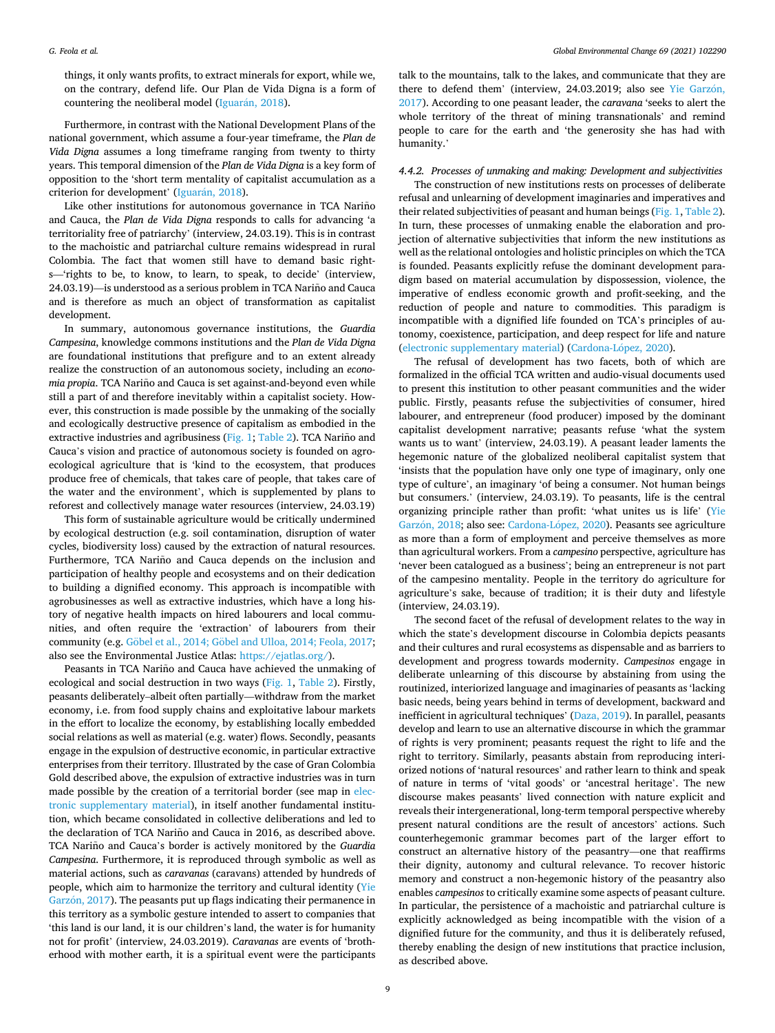things, it only wants profits, to extract minerals for export, while we, on the contrary, defend life. Our Plan de Vida Digna is a form of countering the neoliberal model (Iguarán,  $2018$ ).

Furthermore, in contrast with the National Development Plans of the national government, which assume a four-year timeframe, the *Plan de Vida Digna* assumes a long timeframe ranging from twenty to thirty years. This temporal dimension of the *Plan de Vida Digna* is a key form of opposition to the 'short term mentality of capitalist accumulation as a criterion for development' (Iguarán, 2018).

Like other institutions for autonomous governance in TCA Nariño and Cauca, the *Plan de Vida Digna* responds to calls for advancing 'a territoriality free of patriarchy' (interview, 24.03.19). This is in contrast to the machoistic and patriarchal culture remains widespread in rural Colombia. The fact that women still have to demand basic rights—'rights to be, to know, to learn, to speak, to decide' (interview, 24.03.19)—is understood as a serious problem in TCA Nariño and Cauca and is therefore as much an object of transformation as capitalist development.

In summary, autonomous governance institutions, the *Guardia Campesina*, knowledge commons institutions and the *Plan de Vida Digna*  are foundational institutions that prefigure and to an extent already realize the construction of an autonomous society, including an *economia propia*. TCA Nariño and Cauca is set against-and-beyond even while still a part of and therefore inevitably within a capitalist society. However, this construction is made possible by the unmaking of the socially and ecologically destructive presence of capitalism as embodied in the extractive industries and agribusiness ( $Fig. 1$ ; [Table 2\)](#page-7-0). TCA Nariño and Cauca's vision and practice of autonomous society is founded on agroecological agriculture that is 'kind to the ecosystem, that produces produce free of chemicals, that takes care of people, that takes care of the water and the environment', which is supplemented by plans to reforest and collectively manage water resources (interview, 24.03.19)

This form of sustainable agriculture would be critically undermined by ecological destruction (e.g. soil contamination, disruption of water cycles, biodiversity loss) caused by the extraction of natural resources. Furthermore, TCA Nariño and Cauca depends on the inclusion and participation of healthy people and ecosystems and on their dedication to building a dignified economy. This approach is incompatible with agrobusinesses as well as extractive industries, which have a long history of negative health impacts on hired labourers and local communities, and often require the 'extraction' of labourers from their community (e.g. Göbel et al., 2014; Göbel [and Ulloa, 2014; Feola, 2017](#page-10-0); also see the Environmental Justice Atlas:<https://ejatlas.org/>).

Peasants in TCA Nariño and Cauca have achieved the unmaking of ecological and social destruction in two ways ([Fig. 1,](#page-7-0) [Table 2](#page-7-0)). Firstly, peasants deliberately–albeit often partially—withdraw from the market economy, i.e. from food supply chains and exploitative labour markets in the effort to localize the economy, by establishing locally embedded social relations as well as material (e.g. water) flows. Secondly, peasants engage in the expulsion of destructive economic, in particular extractive enterprises from their territory. Illustrated by the case of Gran Colombia Gold described above, the expulsion of extractive industries was in turn made possible by the creation of a territorial border (see map in electronic supplementary material), in itself another fundamental institution, which became consolidated in collective deliberations and led to the declaration of TCA Nariño and Cauca in 2016, as described above. TCA Nariño and Cauca's border is actively monitored by the *Guardia Campesina*. Furthermore, it is reproduced through symbolic as well as material actions, such as *caravanas* (caravans) attended by hundreds of people, which aim to harmonize the territory and cultural identity [\(Yie](#page-11-0)  Garzón, 2017). The peasants put up flags indicating their permanence in this territory as a symbolic gesture intended to assert to companies that 'this land is our land, it is our children's land, the water is for humanity not for profit' (interview, 24.03.2019). *Caravanas* are events of 'brotherhood with mother earth, it is a spiritual event were the participants

talk to the mountains, talk to the lakes, and communicate that they are there to defend them' (interview, 24.03.2019; also see Yie Garzón, [2017\)](#page-11-0). According to one peasant leader, the *caravana* 'seeks to alert the whole territory of the threat of mining transnationals' and remind people to care for the earth and 'the generosity she has had with humanity.'

## *4.4.2. Processes of unmaking and making: Development and subjectivities*

The construction of new institutions rests on processes of deliberate refusal and unlearning of development imaginaries and imperatives and their related subjectivities of peasant and human beings ([Fig. 1, Table 2](#page-7-0)). In turn, these processes of unmaking enable the elaboration and projection of alternative subjectivities that inform the new institutions as well as the relational ontologies and holistic principles on which the TCA is founded. Peasants explicitly refuse the dominant development paradigm based on material accumulation by dispossession, violence, the imperative of endless economic growth and profit-seeking, and the reduction of people and nature to commodities. This paradigm is incompatible with a dignified life founded on TCA's principles of autonomy, coexistence, participation, and deep respect for life and nature (electronic supplementary material) (Cardona-López, 2020).

The refusal of development has two facets, both of which are formalized in the official TCA written and audio-visual documents used to present this institution to other peasant communities and the wider public. Firstly, peasants refuse the subjectivities of consumer, hired labourer, and entrepreneur (food producer) imposed by the dominant capitalist development narrative; peasants refuse 'what the system wants us to want' (interview, 24.03.19). A peasant leader laments the hegemonic nature of the globalized neoliberal capitalist system that 'insists that the population have only one type of imaginary, only one type of culture', an imaginary 'of being a consumer. Not human beings but consumers.' (interview, 24.03.19). To peasants, life is the central organizing principle rather than profit: 'what unites us is life' [\(Yie](#page-11-0)  Garzón, 2018; also see: Cardona-López, 2020). Peasants see agriculture as more than a form of employment and perceive themselves as more than agricultural workers. From a *campesino* perspective, agriculture has 'never been catalogued as a business'; being an entrepreneur is not part of the campesino mentality. People in the territory do agriculture for agriculture's sake, because of tradition; it is their duty and lifestyle (interview, 24.03.19).

The second facet of the refusal of development relates to the way in which the state's development discourse in Colombia depicts peasants and their cultures and rural ecosystems as dispensable and as barriers to development and progress towards modernity. *Campesinos* engage in deliberate unlearning of this discourse by abstaining from using the routinized, interiorized language and imaginaries of peasants as 'lacking basic needs, being years behind in terms of development, backward and inefficient in agricultural techniques' [\(Daza, 2019\)](#page-10-0). In parallel, peasants develop and learn to use an alternative discourse in which the grammar of rights is very prominent; peasants request the right to life and the right to territory. Similarly, peasants abstain from reproducing interiorized notions of 'natural resources' and rather learn to think and speak of nature in terms of 'vital goods' or 'ancestral heritage'. The new discourse makes peasants' lived connection with nature explicit and reveals their intergenerational, long-term temporal perspective whereby present natural conditions are the result of ancestors' actions. Such counterhegemonic grammar becomes part of the larger effort to construct an alternative history of the peasantry—one that reaffirms their dignity, autonomy and cultural relevance. To recover historic memory and construct a non-hegemonic history of the peasantry also enables *campesinos* to critically examine some aspects of peasant culture. In particular, the persistence of a machoistic and patriarchal culture is explicitly acknowledged as being incompatible with the vision of a dignified future for the community, and thus it is deliberately refused, thereby enabling the design of new institutions that practice inclusion, as described above.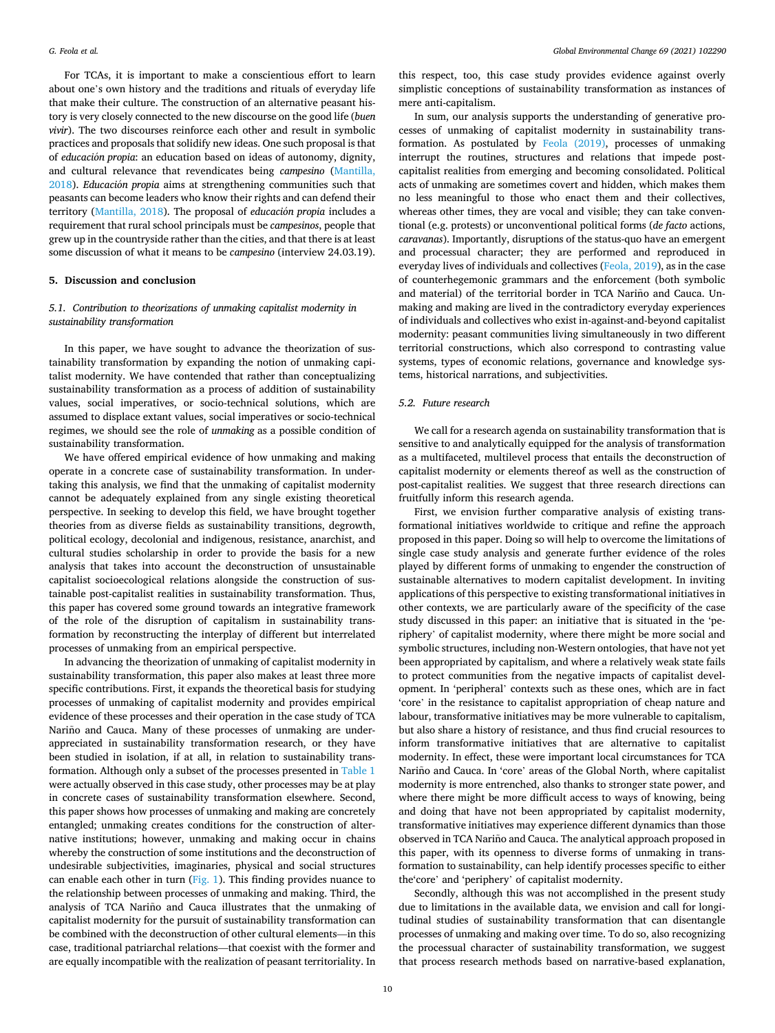For TCAs, it is important to make a conscientious effort to learn about one's own history and the traditions and rituals of everyday life that make their culture. The construction of an alternative peasant history is very closely connected to the new discourse on the good life (*buen vivir*). The two discourses reinforce each other and result in symbolic practices and proposals that solidify new ideas. One such proposal is that of *educación propia*: an education based on ideas of autonomy, dignity, and cultural relevance that revendicates being *campesino* ([Mantilla,](#page-11-0)  [2018\)](#page-11-0). *Educación propia* aims at strengthening communities such that peasants can become leaders who know their rights and can defend their territory [\(Mantilla, 2018\)](#page-11-0). The proposal of *educación propia* includes a requirement that rural school principals must be *campesinos*, people that grew up in the countryside rather than the cities, and that there is at least some discussion of what it means to be *campesino* (interview 24.03.19).

## **5. Discussion and conclusion**

# *5.1. Contribution to theorizations of unmaking capitalist modernity in sustainability transformation*

In this paper, we have sought to advance the theorization of sustainability transformation by expanding the notion of unmaking capitalist modernity. We have contended that rather than conceptualizing sustainability transformation as a process of addition of sustainability values, social imperatives, or socio-technical solutions, which are assumed to displace extant values, social imperatives or socio-technical regimes, we should see the role of *unmaking* as a possible condition of sustainability transformation.

We have offered empirical evidence of how unmaking and making operate in a concrete case of sustainability transformation. In undertaking this analysis, we find that the unmaking of capitalist modernity cannot be adequately explained from any single existing theoretical perspective. In seeking to develop this field, we have brought together theories from as diverse fields as sustainability transitions, degrowth, political ecology, decolonial and indigenous, resistance, anarchist, and cultural studies scholarship in order to provide the basis for a new analysis that takes into account the deconstruction of unsustainable capitalist socioecological relations alongside the construction of sustainable post-capitalist realities in sustainability transformation. Thus, this paper has covered some ground towards an integrative framework of the role of the disruption of capitalism in sustainability transformation by reconstructing the interplay of different but interrelated processes of unmaking from an empirical perspective.

In advancing the theorization of unmaking of capitalist modernity in sustainability transformation, this paper also makes at least three more specific contributions. First, it expands the theoretical basis for studying processes of unmaking of capitalist modernity and provides empirical evidence of these processes and their operation in the case study of TCA Nariño and Cauca. Many of these processes of unmaking are underappreciated in sustainability transformation research, or they have been studied in isolation, if at all, in relation to sustainability transformation. Although only a subset of the processes presented in [Table 1](#page-3-0)  were actually observed in this case study, other processes may be at play in concrete cases of sustainability transformation elsewhere. Second, this paper shows how processes of unmaking and making are concretely entangled; unmaking creates conditions for the construction of alternative institutions; however, unmaking and making occur in chains whereby the construction of some institutions and the deconstruction of undesirable subjectivities, imaginaries, physical and social structures can enable each other in turn [\(Fig. 1](#page-7-0)). This finding provides nuance to the relationship between processes of unmaking and making. Third, the analysis of TCA Nariño and Cauca illustrates that the unmaking of capitalist modernity for the pursuit of sustainability transformation can be combined with the deconstruction of other cultural elements—in this case, traditional patriarchal relations—that coexist with the former and are equally incompatible with the realization of peasant territoriality. In this respect, too, this case study provides evidence against overly simplistic conceptions of sustainability transformation as instances of mere anti-capitalism.

In sum, our analysis supports the understanding of generative processes of unmaking of capitalist modernity in sustainability transformation. As postulated by [Feola \(2019\)](#page-10-0), processes of unmaking interrupt the routines, structures and relations that impede postcapitalist realities from emerging and becoming consolidated. Political acts of unmaking are sometimes covert and hidden, which makes them no less meaningful to those who enact them and their collectives, whereas other times, they are vocal and visible; they can take conventional (e.g. protests) or unconventional political forms (*de facto* actions, *caravanas*). Importantly, disruptions of the status-quo have an emergent and processual character; they are performed and reproduced in everyday lives of individuals and collectives [\(Feola, 2019](#page-10-0)), as in the case of counterhegemonic grammars and the enforcement (both symbolic and material) of the territorial border in TCA Nariño and Cauca. Unmaking and making are lived in the contradictory everyday experiences of individuals and collectives who exist in-against-and-beyond capitalist modernity: peasant communities living simultaneously in two different territorial constructions, which also correspond to contrasting value systems, types of economic relations, governance and knowledge systems, historical narrations, and subjectivities.

## *5.2. Future research*

We call for a research agenda on sustainability transformation that is sensitive to and analytically equipped for the analysis of transformation as a multifaceted, multilevel process that entails the deconstruction of capitalist modernity or elements thereof as well as the construction of post-capitalist realities. We suggest that three research directions can fruitfully inform this research agenda.

First, we envision further comparative analysis of existing transformational initiatives worldwide to critique and refine the approach proposed in this paper. Doing so will help to overcome the limitations of single case study analysis and generate further evidence of the roles played by different forms of unmaking to engender the construction of sustainable alternatives to modern capitalist development. In inviting applications of this perspective to existing transformational initiatives in other contexts, we are particularly aware of the specificity of the case study discussed in this paper: an initiative that is situated in the 'periphery' of capitalist modernity, where there might be more social and symbolic structures, including non-Western ontologies, that have not yet been appropriated by capitalism, and where a relatively weak state fails to protect communities from the negative impacts of capitalist development. In 'peripheral' contexts such as these ones, which are in fact 'core' in the resistance to capitalist appropriation of cheap nature and labour, transformative initiatives may be more vulnerable to capitalism, but also share a history of resistance, and thus find crucial resources to inform transformative initiatives that are alternative to capitalist modernity. In effect, these were important local circumstances for TCA Nariño and Cauca. In 'core' areas of the Global North, where capitalist modernity is more entrenched, also thanks to stronger state power, and where there might be more difficult access to ways of knowing, being and doing that have not been appropriated by capitalist modernity, transformative initiatives may experience different dynamics than those observed in TCA Nariño and Cauca. The analytical approach proposed in this paper, with its openness to diverse forms of unmaking in transformation to sustainability, can help identify processes specific to either the'core' and 'periphery' of capitalist modernity.

Secondly, although this was not accomplished in the present study due to limitations in the available data, we envision and call for longitudinal studies of sustainability transformation that can disentangle processes of unmaking and making over time. To do so, also recognizing the processual character of sustainability transformation, we suggest that process research methods based on narrative-based explanation,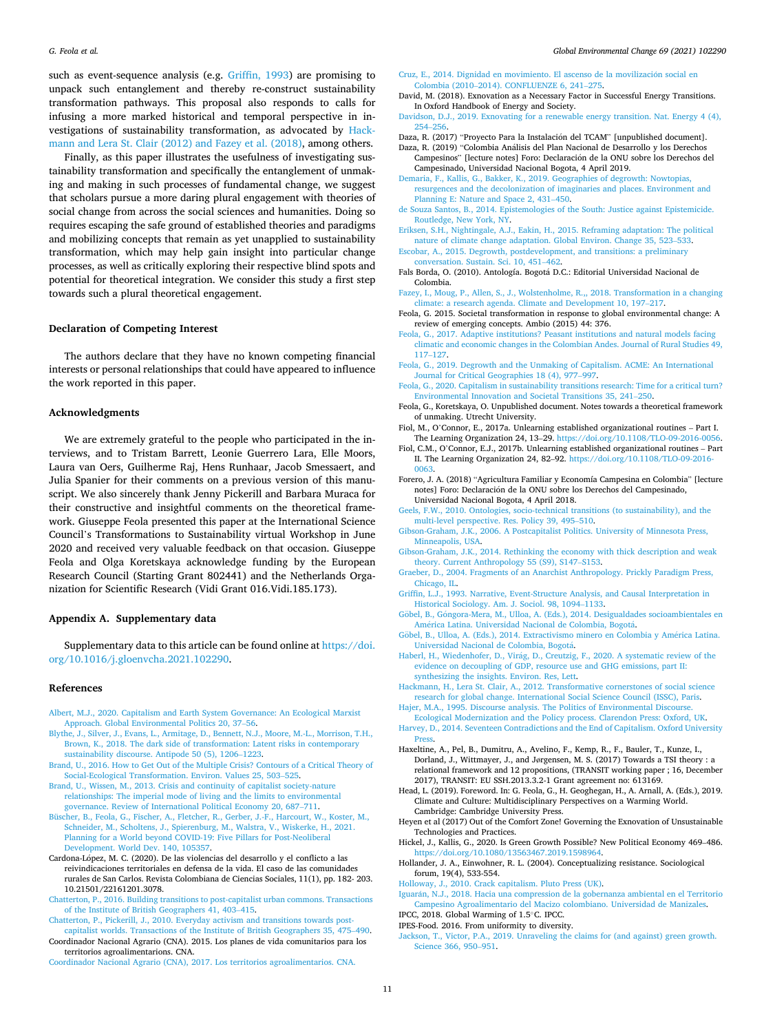<span id="page-10-0"></span>such as event-sequence analysis (e.g. Griffin, 1993) are promising to unpack such entanglement and thereby re-construct sustainability transformation pathways. This proposal also responds to calls for infusing a more marked historical and temporal perspective in investigations of sustainability transformation, as advocated by Hackmann and Lera St. Clair (2012) and Fazey et al. (2018), among others.

Finally, as this paper illustrates the usefulness of investigating sustainability transformation and specifically the entanglement of unmaking and making in such processes of fundamental change, we suggest that scholars pursue a more daring plural engagement with theories of social change from across the social sciences and humanities. Doing so requires escaping the safe ground of established theories and paradigms and mobilizing concepts that remain as yet unapplied to sustainability transformation, which may help gain insight into particular change processes, as well as critically exploring their respective blind spots and potential for theoretical integration. We consider this study a first step towards such a plural theoretical engagement.

#### **Declaration of Competing Interest**

The authors declare that they have no known competing financial interests or personal relationships that could have appeared to influence the work reported in this paper.

#### **Acknowledgments**

We are extremely grateful to the people who participated in the interviews, and to Tristam Barrett, Leonie Guerrero Lara, Elle Moors, Laura van Oers, Guilherme Raj, Hens Runhaar, Jacob Smessaert, and Julia Spanier for their comments on a previous version of this manuscript. We also sincerely thank Jenny Pickerill and Barbara Muraca for their constructive and insightful comments on the theoretical framework. Giuseppe Feola presented this paper at the International Science Council's Transformations to Sustainability virtual Workshop in June 2020 and received very valuable feedback on that occasion. Giuseppe Feola and Olga Koretskaya acknowledge funding by the European Research Council (Starting Grant 802441) and the Netherlands Organization for Scientific Research (Vidi Grant 016.Vidi.185.173).

## **Appendix A. Supplementary data**

Supplementary data to this article can be found online at [https://doi.](https://doi.org/10.1016/j.gloenvcha.2021.102290)  [org/10.1016/j.gloenvcha.2021.102290.](https://doi.org/10.1016/j.gloenvcha.2021.102290)

#### **References**

- [Albert, M.J., 2020. Capitalism and Earth System Governance: An Ecological Marxist](http://refhub.elsevier.com/S0959-3780(21)00069-8/h0005) [Approach. Global Environmental Politics 20, 37](http://refhub.elsevier.com/S0959-3780(21)00069-8/h0005)–56.
- [Blythe, J., Silver, J., Evans, L., Armitage, D., Bennett, N.J., Moore, M.-L., Morrison, T.H.,](http://refhub.elsevier.com/S0959-3780(21)00069-8/h0010)  [Brown, K., 2018. The dark side of transformation: Latent risks in contemporary](http://refhub.elsevier.com/S0959-3780(21)00069-8/h0010) [sustainability discourse. Antipode 50 \(5\), 1206](http://refhub.elsevier.com/S0959-3780(21)00069-8/h0010)–1223.
- [Brand, U., 2016. How to Get Out of the Multiple Crisis? Contours of a Critical Theory of](http://refhub.elsevier.com/S0959-3780(21)00069-8/h0015)  [Social-Ecological Transformation. Environ. Values 25, 503](http://refhub.elsevier.com/S0959-3780(21)00069-8/h0015)–525.
- [Brand, U., Wissen, M., 2013. Crisis and continuity of capitalist society-nature](http://refhub.elsevier.com/S0959-3780(21)00069-8/h0020) [relationships: The imperial mode of living and the limits to environmental](http://refhub.elsevier.com/S0959-3780(21)00069-8/h0020) [governance. Review of International Political Economy 20, 687](http://refhub.elsevier.com/S0959-3780(21)00069-8/h0020)–711.
- [Büscher, B., Feola, G., Fischer, A., Fletcher, R., Gerber, J.-F., Harcourt, W., Koster, M.,](http://refhub.elsevier.com/S0959-3780(21)00069-8/h0025) [Schneider, M., Scholtens, J., Spierenburg, M., Walstra, V., Wiskerke, H., 2021.](http://refhub.elsevier.com/S0959-3780(21)00069-8/h0025) [Planning for a World beyond COVID-19: Five Pillars for Post-Neoliberal](http://refhub.elsevier.com/S0959-3780(21)00069-8/h0025) [Development. World Dev. 140, 105357](http://refhub.elsevier.com/S0959-3780(21)00069-8/h0025).
- Cardona-López, M. C. (2020). De las violencias del desarrollo y el conflicto a las reivindicaciones territoriales en defensa de la vida. El caso de las comunidades rurales de San Carlos. Revista Colombiana de Ciencias Sociales, 11(1), pp. 182- 203. 10.21501/22161201.3078.
- [Chatterton, P., 2016. Building transitions to post-capitalist urban commons. Transactions](http://refhub.elsevier.com/S0959-3780(21)00069-8/h0035)  [of the Institute of British Geographers 41, 403](http://refhub.elsevier.com/S0959-3780(21)00069-8/h0035)–415.
- [Chatterton, P., Pickerill, J., 2010. Everyday activism and transitions towards post](http://refhub.elsevier.com/S0959-3780(21)00069-8/h0040)[capitalist worlds. Transactions of the Institute of British Geographers 35, 475](http://refhub.elsevier.com/S0959-3780(21)00069-8/h0040)–490.
- Coordinador Nacional Agrario (CNA). 2015. Los planes de vida comunitarios para los territorios agroalimentarions. CNA. [Coordinador Nacional Agrario \(CNA\), 2017. Los territorios agroalimentarios. CNA.](http://refhub.elsevier.com/S0959-3780(21)00069-8/h0050)
- Cruz, E., 2014. Dignidad en movimiento. El ascenso de la movilización social en Colombia (2010–[2014\). CONFLUENZE 6, 241](http://refhub.elsevier.com/S0959-3780(21)00069-8/h0055)–275.
- David, M. (2018). Exnovation as a Necessary Factor in Successful Energy Transitions. In Oxford Handbook of Energy and Society.
- [Davidson, D.J., 2019. Exnovating for a renewable energy transition. Nat. Energy 4 \(4\),](http://refhub.elsevier.com/S0959-3780(21)00069-8/h0065)  254–[256](http://refhub.elsevier.com/S0959-3780(21)00069-8/h0065).
- Daza, R. (2017) "Proyecto Para la Instalación del TCAM" [unpublished document].
- Daza, R. (2019) "Colombia Análisis del Plan Nacional de Desarrollo y los Derechos Campesinos" [lecture notes] Foro: Declaración de la ONU sobre los Derechos del Campesinado, Universidad Nacional Bogota, 4 April 2019.
- [Demaria, F., Kallis, G., Bakker, K., 2019. Geographies of degrowth: Nowtopias,](http://refhub.elsevier.com/S0959-3780(21)00069-8/h0080)  [resurgences and the decolonization of imaginaries and places. Environment and](http://refhub.elsevier.com/S0959-3780(21)00069-8/h0080) [Planning E: Nature and Space 2, 431](http://refhub.elsevier.com/S0959-3780(21)00069-8/h0080)–450.
- [de Souza Santos, B., 2014. Epistemologies of the South: Justice against Epistemicide.](http://refhub.elsevier.com/S0959-3780(21)00069-8/h0085) [Routledge, New York, NY.](http://refhub.elsevier.com/S0959-3780(21)00069-8/h0085)
- [Eriksen, S.H., Nightingale, A.J., Eakin, H., 2015. Reframing adaptation: The political](http://refhub.elsevier.com/S0959-3780(21)00069-8/h0090)  [nature of climate change adaptation. Global Environ. Change 35, 523](http://refhub.elsevier.com/S0959-3780(21)00069-8/h0090)–533.
- [Escobar, A., 2015. Degrowth, postdevelopment, and transitions: a preliminary](http://refhub.elsevier.com/S0959-3780(21)00069-8/h0095) [conversation. Sustain. Sci. 10, 451](http://refhub.elsevier.com/S0959-3780(21)00069-8/h0095)–462.
- Fals Borda, O. (2010). Antología. Bogotá D.C.: Editorial Universidad Nacional de Colombia.
- [Fazey, I., Moug, P., Allen, S., J., Wolstenholme, R.,, 2018. Transformation in a changing](http://refhub.elsevier.com/S0959-3780(21)00069-8/h0105)  [climate: a research agenda. Climate and Development 10, 197](http://refhub.elsevier.com/S0959-3780(21)00069-8/h0105)–217.
- Feola, G. 2015. Societal transformation in response to global environmental change: A review of emerging concepts. Ambio (2015) 44: 376.
- [Feola, G., 2017. Adaptive institutions? Peasant institutions and natural models facing](http://refhub.elsevier.com/S0959-3780(21)00069-8/h0115) [climatic and economic changes in the Colombian Andes. Journal of Rural Studies 49,](http://refhub.elsevier.com/S0959-3780(21)00069-8/h0115)  117–[127](http://refhub.elsevier.com/S0959-3780(21)00069-8/h0115).
- [Feola, G., 2019. Degrowth and the Unmaking of Capitalism. ACME: An International](http://refhub.elsevier.com/S0959-3780(21)00069-8/h0120)  [Journal for Critical Geographies 18 \(4\), 977](http://refhub.elsevier.com/S0959-3780(21)00069-8/h0120)–997.
- Feola, G., 2020. Capitalism in sustainability transitions research: Time for a critical turn? [Environmental Innovation and Societal Transitions 35, 241](http://refhub.elsevier.com/S0959-3780(21)00069-8/h0125)–250.
- Feola, G., Koretskaya, O. Unpublished document. Notes towards a theoretical framework of unmaking. Utrecht University.
- Fiol, M., O'Connor, E., 2017a. Unlearning established organizational routines Part I. The Learning Organization 24, 13–29. [https://doi.org/10.1108/TLO-09-2016-0056.](https://doi.org/10.1108/TLO-09-2016-0056)
- Fiol, C.M., O'Connor, E.J., 2017b. Unlearning established organizational routines Part II. The Learning Organization 24, 82–92. [https://doi.org/10.1108/TLO-09-2016-](https://doi.org/10.1108/TLO-09-2016-0063)  [0063.](https://doi.org/10.1108/TLO-09-2016-0063)
- Forero, J. A. (2018) "Agricultura Familiar y Economía Campesina en Colombia" [lecture notes] Foro: Declaración de la ONU sobre los Derechos del Campesinado, Universidad Nacional Bogota, 4 April 2018.
- [Geels, F.W., 2010. Ontologies, socio-technical transitions \(to sustainability\), and the](http://refhub.elsevier.com/S0959-3780(21)00069-8/h0150)  [multi-level perspective. Res. Policy 39, 495](http://refhub.elsevier.com/S0959-3780(21)00069-8/h0150)–510.
- [Gibson-Graham, J.K., 2006. A Postcapitalist Politics. University of Minnesota Press,](http://refhub.elsevier.com/S0959-3780(21)00069-8/h0155)  [Minneapolis, USA](http://refhub.elsevier.com/S0959-3780(21)00069-8/h0155).
- [Gibson-Graham, J.K., 2014. Rethinking the economy with thick description and weak](http://refhub.elsevier.com/S0959-3780(21)00069-8/h0160) [theory. Current Anthropology 55 \(S9\), S147](http://refhub.elsevier.com/S0959-3780(21)00069-8/h0160)–S153.
- [Graeber, D., 2004. Fragments of an Anarchist Anthropology. Prickly Paradigm Press,](http://refhub.elsevier.com/S0959-3780(21)00069-8/h0165) [Chicago, IL.](http://refhub.elsevier.com/S0959-3780(21)00069-8/h0165)
- [Griffin, L.J., 1993. Narrative, Event-Structure Analysis, and Causal Interpretation in](http://refhub.elsevier.com/S0959-3780(21)00069-8/h0170)  [Historical Sociology. Am. J. Sociol. 98, 1094](http://refhub.elsevier.com/S0959-3780(21)00069-8/h0170)–1133.
- Göbel, B., Góngora-Mera, M., Ulloa, A. (Eds.), 2014. Desigualdades socioambientales en América Latina. Universidad Nacional de Colombia, Bogotá.
- Göbel, [B., Ulloa, A. \(Eds.\), 2014. Extractivismo minero en Colombia y Am](http://refhub.elsevier.com/S0959-3780(21)00069-8/h0180)érica Latina. [Universidad Nacional de Colombia, Bogota](http://refhub.elsevier.com/S0959-3780(21)00069-8/h0180)´.
- Haberl, H., Wiedenhofer, D., Virág, [D., Creutzig, F., 2020. A systematic review of the](http://refhub.elsevier.com/S0959-3780(21)00069-8/h0185) [evidence on decoupling of GDP, resource use and GHG emissions, part II:](http://refhub.elsevier.com/S0959-3780(21)00069-8/h0185) [synthesizing the insights. Environ. Res, Lett.](http://refhub.elsevier.com/S0959-3780(21)00069-8/h0185)
- [Hackmann, H., Lera St. Clair, A., 2012. Transformative cornerstones of social science](http://refhub.elsevier.com/S0959-3780(21)00069-8/h0190)  [research for global change. International Social Science Council \(ISSC\), Paris.](http://refhub.elsevier.com/S0959-3780(21)00069-8/h0190) [Hajer, M.A., 1995. Discourse analysis. The Politics of Environmental Discourse.](http://refhub.elsevier.com/S0959-3780(21)00069-8/h0195)
- [Ecological Modernization and the Policy process. Clarendon Press: Oxford, UK](http://refhub.elsevier.com/S0959-3780(21)00069-8/h0195). [Harvey, D., 2014. Seventeen Contradictions and the End of Capitalism. Oxford University](http://refhub.elsevier.com/S0959-3780(21)00069-8/h0200)  **Dracc.**
- Haxeltine, A., Pel, B., Dumitru, A., Avelino, F., Kemp, R., F., Bauler, T., Kunze, I., Dorland, J., Wittmayer, J., and Jørgensen, M. S. (2017) Towards a TSI theory : a relational framework and 12 propositions, (TRANSIT working paper ; 16, December 2017), TRANSIT: EU SSH.2013.3.2-1 Grant agreement no: 613169.
- Head, L. (2019). Foreword. In: G. Feola, G., H. Geoghegan, H., A. Arnall, A. (Eds.), 2019. Climate and Culture: Multidisciplinary Perspectives on a Warming World. Cambridge: Cambridge University Press.
- Heyen et al (2017) Out of the Comfort Zone! Governing the Exnovation of Unsustainable Technologies and Practices.
- Hickel, J., Kallis, G., 2020. Is Green Growth Possible? New Political Economy 469–486. <https://doi.org/10.1080/13563467.2019.1598964>.
- Hollander, J. A., Einwohner, R. L. (2004). Conceptualizing resistance. Sociological forum, 19(4), 533-554.

[Holloway, J., 2010. Crack capitalism. Pluto Press \(UK\).](http://refhub.elsevier.com/S0959-3780(21)00069-8/h0225)

- Iguarán, N.J., 2018. Hacia una compression de la gobernanza ambiental en el Territorio [Campesino Agroalimentario del Macizo colombiano. Universidad de Manizales.](http://refhub.elsevier.com/S0959-3780(21)00069-8/h0230) IPCC, 2018. Global Warming of 1.5◦C. IPCC.
- IPES-Food. 2016. From uniformity to diversity.
- [Jackson, T., Victor, P.A., 2019. Unraveling the claims for \(and against\) green growth.](http://refhub.elsevier.com/S0959-3780(21)00069-8/h0245) [Science 366, 950](http://refhub.elsevier.com/S0959-3780(21)00069-8/h0245)–951.